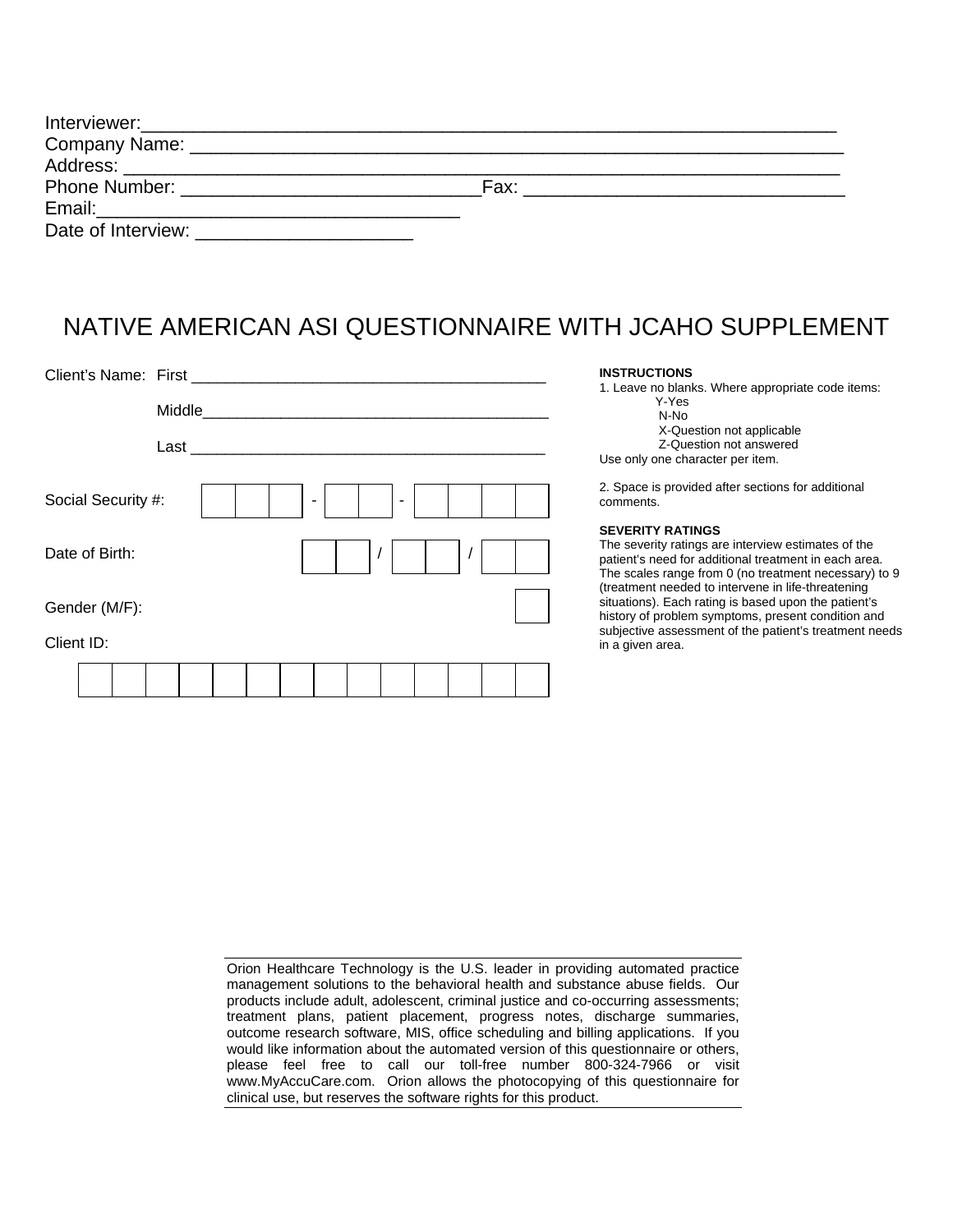| Phone Number: <u>_______________</u>                                                                                                                                                                                           | Fax: |  |
|--------------------------------------------------------------------------------------------------------------------------------------------------------------------------------------------------------------------------------|------|--|
|                                                                                                                                                                                                                                |      |  |
| Date of Interview: Note that the state of the state of the state of the state of the state of the state of the state of the state of the state of the state of the state of the state of the state of the state of the state o |      |  |

# NATIVE AMERICAN ASI QUESTIONNAIRE WITH JCAHO SUPPLEMENT

| Client's Name: First |        | <b>INSTRUCTIONS</b>                                                                                                                                                                                                                                    |
|----------------------|--------|--------------------------------------------------------------------------------------------------------------------------------------------------------------------------------------------------------------------------------------------------------|
|                      | Middle | 1. Leave no blanks. Where appropriate code items:<br>Y-Yes<br>N-No                                                                                                                                                                                     |
|                      | Last   | X-Question not applicable<br>Z-Question not answered<br>Use only one character per item.                                                                                                                                                               |
| Social Security #:   | -      | 2. Space is provided after sections for additional<br>comments.                                                                                                                                                                                        |
| Date of Birth:       |        | <b>SEVERITY RATINGS</b><br>The severity ratings are interview estimates of the<br>patient's need for additional treatment in each area.<br>The scales range from 0 (no treatment necessary) to 9<br>(treatment needed to intervene in life-threatening |
| Gender (M/F):        |        | situations). Each rating is based upon the patient's<br>history of problem symptoms, present condition and                                                                                                                                             |
| Client ID:           |        | subjective assessment of the patient's treatment needs<br>in a given area.                                                                                                                                                                             |
|                      |        |                                                                                                                                                                                                                                                        |

| Orion Healthcare Technology is the U.S. leader in providing automated practice      |
|-------------------------------------------------------------------------------------|
| management solutions to the behavioral health and substance abuse fields. Our       |
| products include adult, adolescent, criminal justice and co-occurring assessments;  |
| treatment plans, patient placement, progress notes, discharge summaries,            |
| outcome research software, MIS, office scheduling and billing applications. If you  |
| would like information about the automated version of this questionnaire or others, |
| please feel free to call our toll-free number 800-324-7966 or visit                 |
| www.MyAccuCare.com. Orion allows the photocopying of this questionnaire for         |
| clinical use, but reserves the software rights for this product.                    |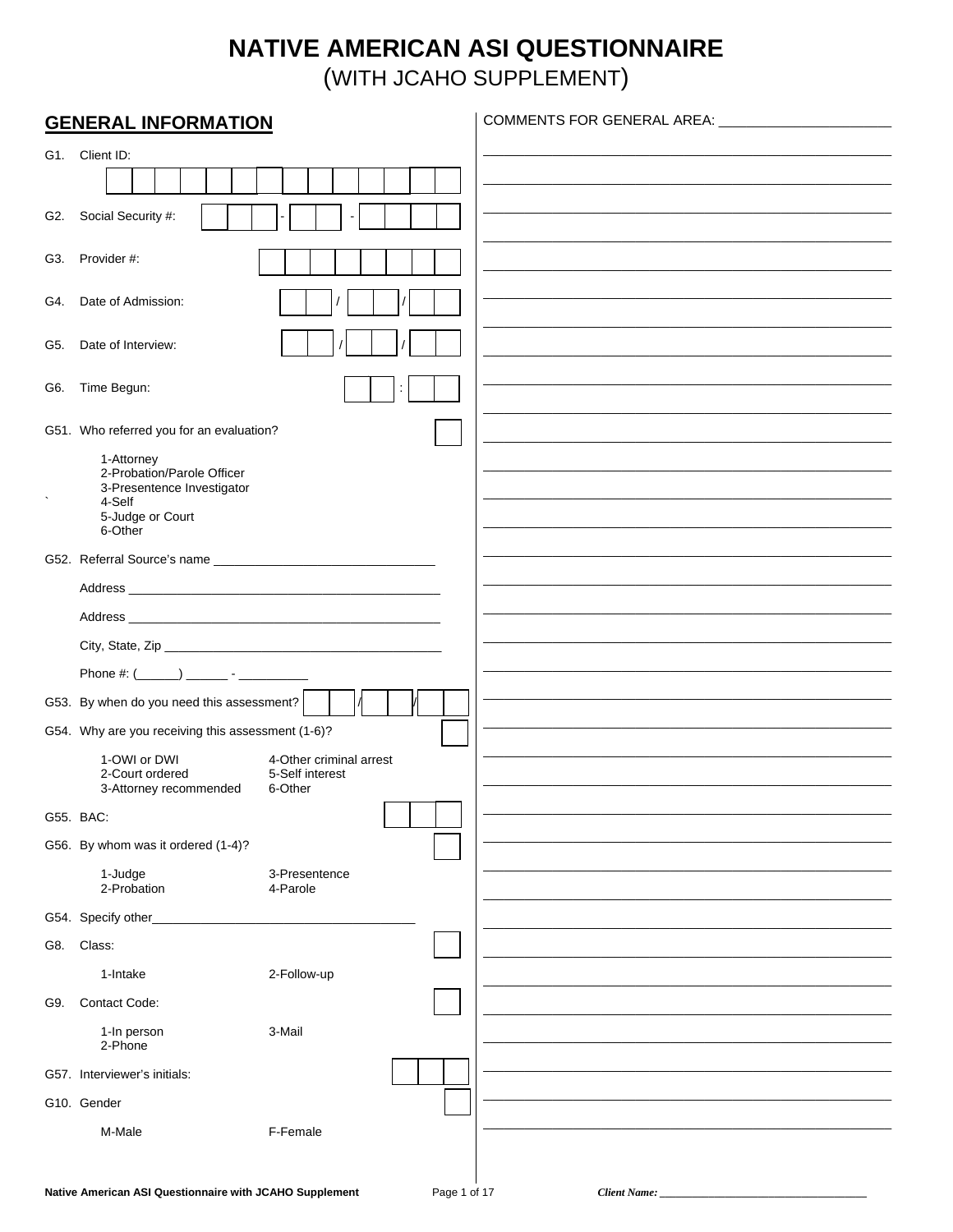# NATIVE AMERICAN ASI QUESTIONNAIRE

(WITH JCAHO SUPPLEMENT)

|     | <b>GENERAL INFORMATION</b>                                |                                                       | COMMENTS FOR GENERAL AREA: ______________________ |
|-----|-----------------------------------------------------------|-------------------------------------------------------|---------------------------------------------------|
|     | G1. Client ID:                                            |                                                       |                                                   |
|     |                                                           |                                                       |                                                   |
|     |                                                           |                                                       |                                                   |
| G2. | Social Security #:                                        |                                                       |                                                   |
| G3. | Provider #:                                               |                                                       |                                                   |
| G4. | Date of Admission:                                        |                                                       |                                                   |
| G5. | Date of Interview:                                        |                                                       |                                                   |
|     |                                                           |                                                       |                                                   |
| G6. | Time Begun:                                               |                                                       |                                                   |
|     | G51. Who referred you for an evaluation?                  |                                                       |                                                   |
|     | 1-Attorney<br>2-Probation/Parole Officer                  |                                                       |                                                   |
|     | 3-Presentence Investigator<br>4-Self                      |                                                       |                                                   |
|     | 5-Judge or Court                                          |                                                       |                                                   |
|     | 6-Other                                                   |                                                       |                                                   |
|     |                                                           |                                                       |                                                   |
|     |                                                           |                                                       |                                                   |
|     |                                                           |                                                       |                                                   |
|     |                                                           |                                                       |                                                   |
|     |                                                           |                                                       |                                                   |
|     | G53. By when do you need this assessment?                 |                                                       |                                                   |
|     | G54. Why are you receiving this assessment (1-6)?         |                                                       |                                                   |
|     | 1-OWI or DWI<br>2-Court ordered<br>3-Attorney recommended | 4-Other criminal arrest<br>5-Self interest<br>6-Other |                                                   |
|     | G55. BAC:                                                 |                                                       |                                                   |
|     | G56. By whom was it ordered (1-4)?                        |                                                       |                                                   |
|     |                                                           |                                                       |                                                   |
|     | 1-Judge<br>2-Probation                                    | 3-Presentence<br>4-Parole                             |                                                   |
|     | G54. Specify other_                                       |                                                       |                                                   |
| G8. | Class:                                                    |                                                       |                                                   |
|     | 1-Intake                                                  | 2-Follow-up                                           |                                                   |
| G9. | Contact Code:                                             |                                                       |                                                   |
|     | 1-In person<br>2-Phone                                    | 3-Mail                                                |                                                   |
|     | G57. Interviewer's initials:                              |                                                       |                                                   |
|     | G10. Gender                                               |                                                       |                                                   |
|     | M-Male                                                    | F-Female                                              |                                                   |
|     |                                                           |                                                       |                                                   |

Client Name: \_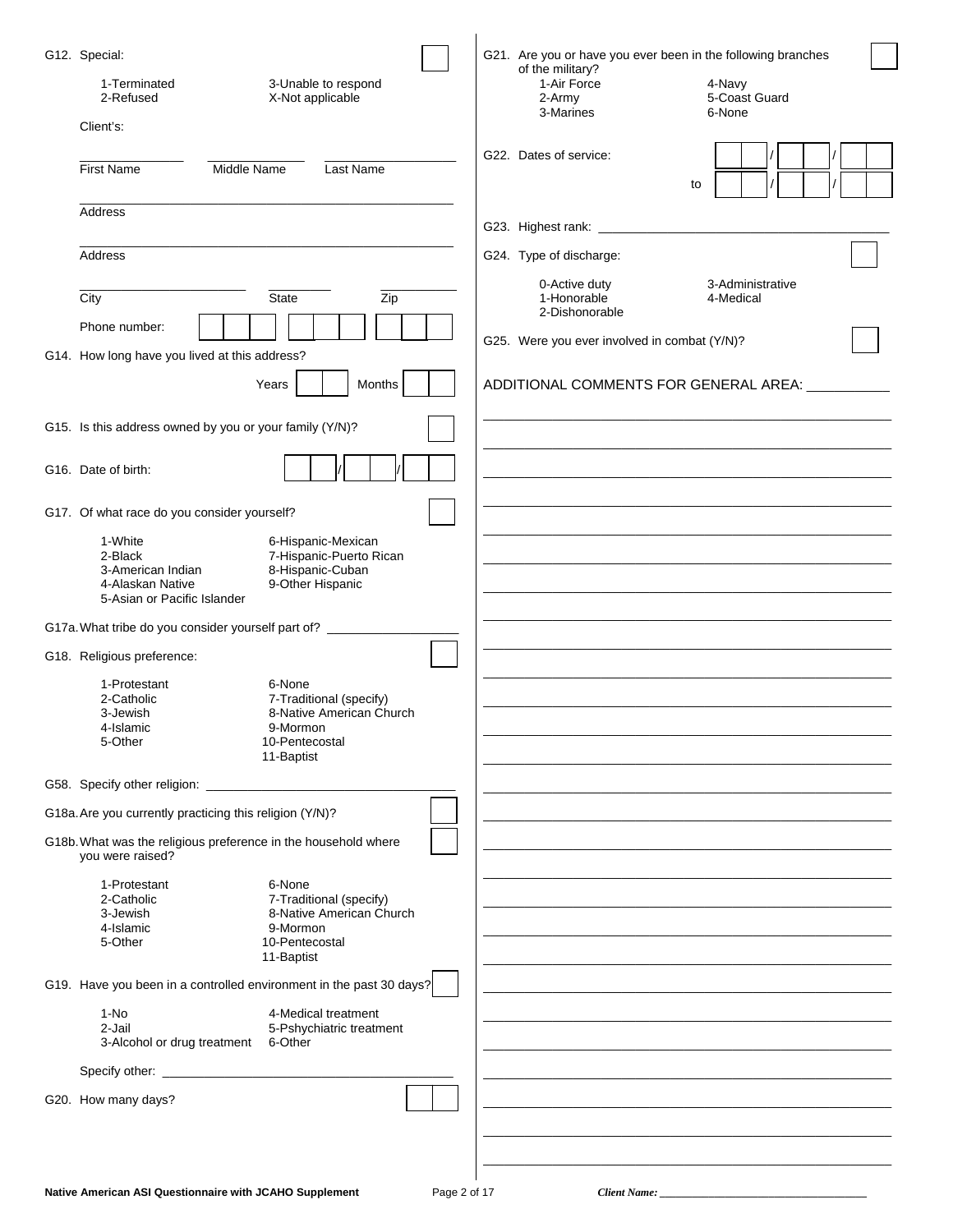| G12. Special:<br>1-Terminated<br>3-Unable to respond<br>X-Not applicable<br>2-Refused<br>Client's:                                                                                  | G21. Are you or have you ever been in the following branches<br>of the military?<br>1-Air Force<br>4-Navy<br>5-Coast Guard<br>2-Army<br>3-Marines<br>6-None<br>G22. Dates of service: |
|-------------------------------------------------------------------------------------------------------------------------------------------------------------------------------------|---------------------------------------------------------------------------------------------------------------------------------------------------------------------------------------|
| <b>First Name</b><br>Middle Name<br>Last Name                                                                                                                                       | to                                                                                                                                                                                    |
| Address                                                                                                                                                                             |                                                                                                                                                                                       |
| Address                                                                                                                                                                             | G24. Type of discharge:                                                                                                                                                               |
| Zip<br>City<br><b>State</b>                                                                                                                                                         | 0-Active duty<br>3-Administrative<br>1-Honorable<br>4-Medical<br>2-Dishonorable                                                                                                       |
| Phone number:                                                                                                                                                                       | G25. Were you ever involved in combat (Y/N)?                                                                                                                                          |
| G14. How long have you lived at this address?                                                                                                                                       |                                                                                                                                                                                       |
| Months<br>Years                                                                                                                                                                     | ADDITIONAL COMMENTS FOR GENERAL AREA: __________                                                                                                                                      |
| G15. Is this address owned by you or your family (Y/N)?                                                                                                                             |                                                                                                                                                                                       |
| G16. Date of birth:                                                                                                                                                                 |                                                                                                                                                                                       |
| G17. Of what race do you consider yourself?                                                                                                                                         |                                                                                                                                                                                       |
| 1-White<br>6-Hispanic-Mexican<br>7-Hispanic-Puerto Rican<br>2-Black<br>8-Hispanic-Cuban<br>3-American Indian<br>9-Other Hispanic<br>4-Alaskan Native<br>5-Asian or Pacific Islander |                                                                                                                                                                                       |
| G17a. What tribe do you consider yourself part of? ____________                                                                                                                     |                                                                                                                                                                                       |
| G18. Religious preference:                                                                                                                                                          |                                                                                                                                                                                       |
| 1-Protestant<br>6-None<br>7-Traditional (specify)<br>2-Catholic<br>8-Native American Church<br>3-Jewish<br>9-Mormon<br>4-Islamic<br>5-Other<br>10-Pentecostal<br>11-Baptist         |                                                                                                                                                                                       |
|                                                                                                                                                                                     |                                                                                                                                                                                       |
| G18a. Are you currently practicing this religion (Y/N)?                                                                                                                             |                                                                                                                                                                                       |
| G18b. What was the religious preference in the household where<br>you were raised?                                                                                                  |                                                                                                                                                                                       |
| 1-Protestant<br>6-None<br>2-Catholic<br>7-Traditional (specify)<br>3-Jewish<br>8-Native American Church<br>4-Islamic<br>9-Mormon<br>5-Other<br>10-Pentecostal<br>11-Baptist         |                                                                                                                                                                                       |
| G19. Have you been in a controlled environment in the past 30 days?                                                                                                                 |                                                                                                                                                                                       |
| 1-No<br>4-Medical treatment<br>2-Jail<br>5-Pshychiatric treatment<br>3-Alcohol or drug treatment<br>6-Other                                                                         |                                                                                                                                                                                       |
|                                                                                                                                                                                     |                                                                                                                                                                                       |
| G20. How many days?                                                                                                                                                                 |                                                                                                                                                                                       |
|                                                                                                                                                                                     |                                                                                                                                                                                       |
|                                                                                                                                                                                     |                                                                                                                                                                                       |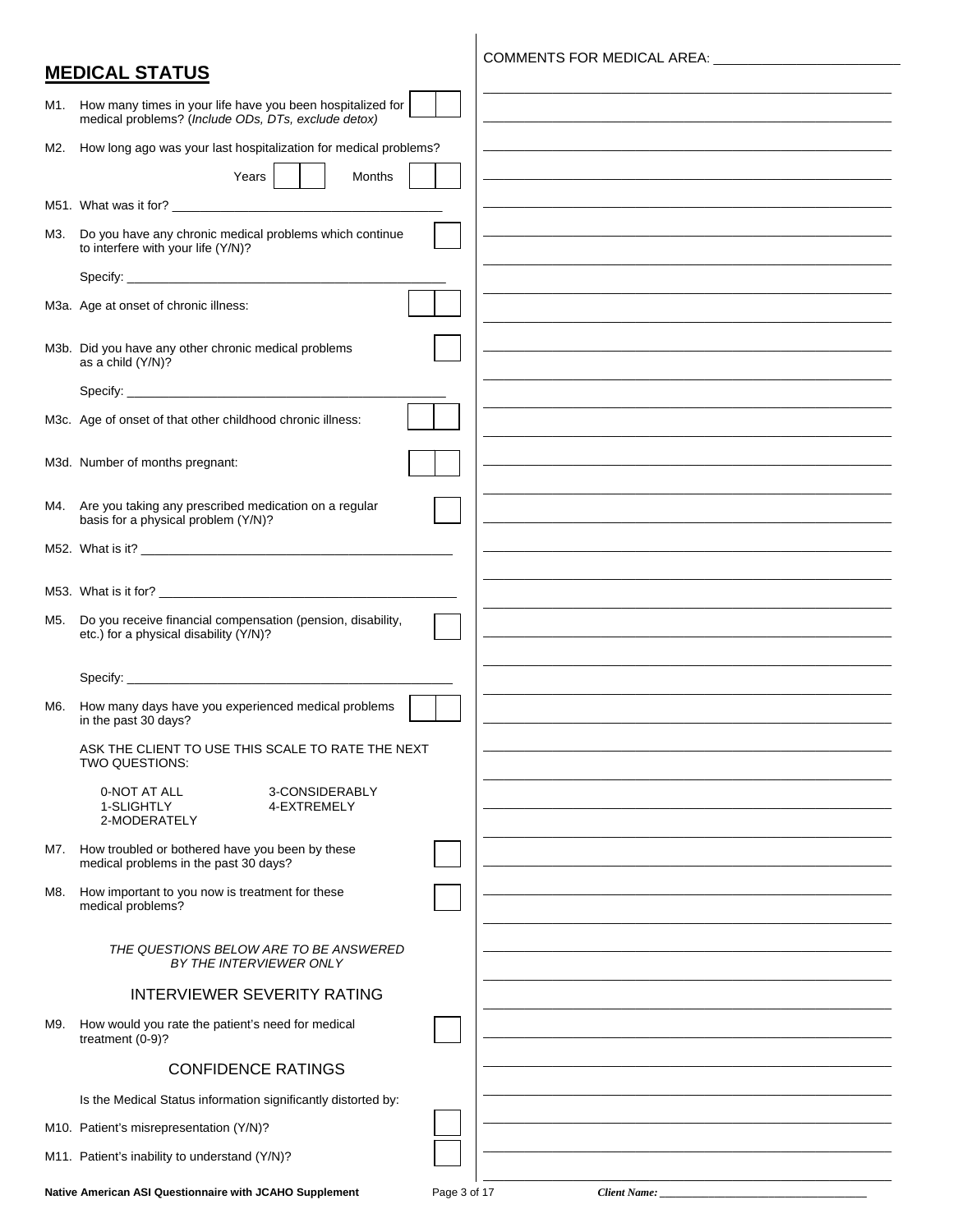### **MEDICAL STATUS**

COMMENTS FOR MEDICAL AREA: \_\_\_\_\_\_\_\_\_\_\_\_\_\_\_\_\_\_\_\_\_\_\_\_\_\_\_

| M1. | How many times in your life have you been hospitalized for<br>medical problems? (Include ODs, DTs, exclude detox) |                                                                                                                       |
|-----|-------------------------------------------------------------------------------------------------------------------|-----------------------------------------------------------------------------------------------------------------------|
| M2. | How long ago was your last hospitalization for medical problems?                                                  |                                                                                                                       |
|     | Years  <br>Months                                                                                                 |                                                                                                                       |
|     |                                                                                                                   |                                                                                                                       |
| М3. | Do you have any chronic medical problems which continue                                                           |                                                                                                                       |
|     | to interfere with your life (Y/N)?                                                                                |                                                                                                                       |
|     |                                                                                                                   |                                                                                                                       |
|     | M3a. Age at onset of chronic illness:                                                                             |                                                                                                                       |
|     | M3b. Did you have any other chronic medical problems<br>as a child (Y/N)?                                         |                                                                                                                       |
|     |                                                                                                                   |                                                                                                                       |
|     | M3c. Age of onset of that other childhood chronic illness:                                                        |                                                                                                                       |
|     | M3d. Number of months pregnant:                                                                                   |                                                                                                                       |
|     |                                                                                                                   |                                                                                                                       |
| M4. | Are you taking any prescribed medication on a regular<br>basis for a physical problem (Y/N)?                      |                                                                                                                       |
|     |                                                                                                                   |                                                                                                                       |
|     |                                                                                                                   |                                                                                                                       |
|     |                                                                                                                   |                                                                                                                       |
| M5. | Do you receive financial compensation (pension, disability,<br>etc.) for a physical disability (Y/N)?             | <u> 1989 - Johann Stoff, deutscher Stoff, der Stoff, der Stoff, der Stoff, der Stoff, der Stoff, der Stoff, der S</u> |
|     |                                                                                                                   |                                                                                                                       |
|     |                                                                                                                   |                                                                                                                       |
| M6. | How many days have you experienced medical problems<br>in the past 30 days?                                       |                                                                                                                       |
|     | ASK THE CLIENT TO USE THIS SCALE TO RATE THE NEXT<br>TWO QUESTIONS:                                               |                                                                                                                       |
|     | 0-NOT AT ALL<br>3-CONSIDERABLY<br>1-SLIGHTLY<br>4-EXTREMELY                                                       |                                                                                                                       |
|     | 2-MODERATELY                                                                                                      |                                                                                                                       |
| M7. | How troubled or bothered have you been by these<br>medical problems in the past 30 days?                          |                                                                                                                       |
| M8. | How important to you now is treatment for these                                                                   |                                                                                                                       |
|     | medical problems?                                                                                                 |                                                                                                                       |
|     | THE QUESTIONS BELOW ARE TO BE ANSWERED                                                                            |                                                                                                                       |
|     | BY THE INTERVIEWER ONLY                                                                                           |                                                                                                                       |
|     | <b>INTERVIEWER SEVERITY RATING</b>                                                                                |                                                                                                                       |
| M9. | How would you rate the patient's need for medical<br>treatment $(0-9)$ ?                                          |                                                                                                                       |
|     | <b>CONFIDENCE RATINGS</b>                                                                                         |                                                                                                                       |
|     | Is the Medical Status information significantly distorted by:                                                     |                                                                                                                       |
|     | M10. Patient's misrepresentation (Y/N)?                                                                           |                                                                                                                       |
|     | M11. Patient's inability to understand (Y/N)?                                                                     |                                                                                                                       |
|     |                                                                                                                   |                                                                                                                       |

**Native American ASI Questionnaire with JCAHO Supplement** Page 3 of 17 *Client Name: \_\_\_\_\_\_\_\_\_\_\_\_\_\_\_\_\_\_\_\_\_\_\_\_\_\_\_\_\_\_\_\_\_\_\_\_\_\_*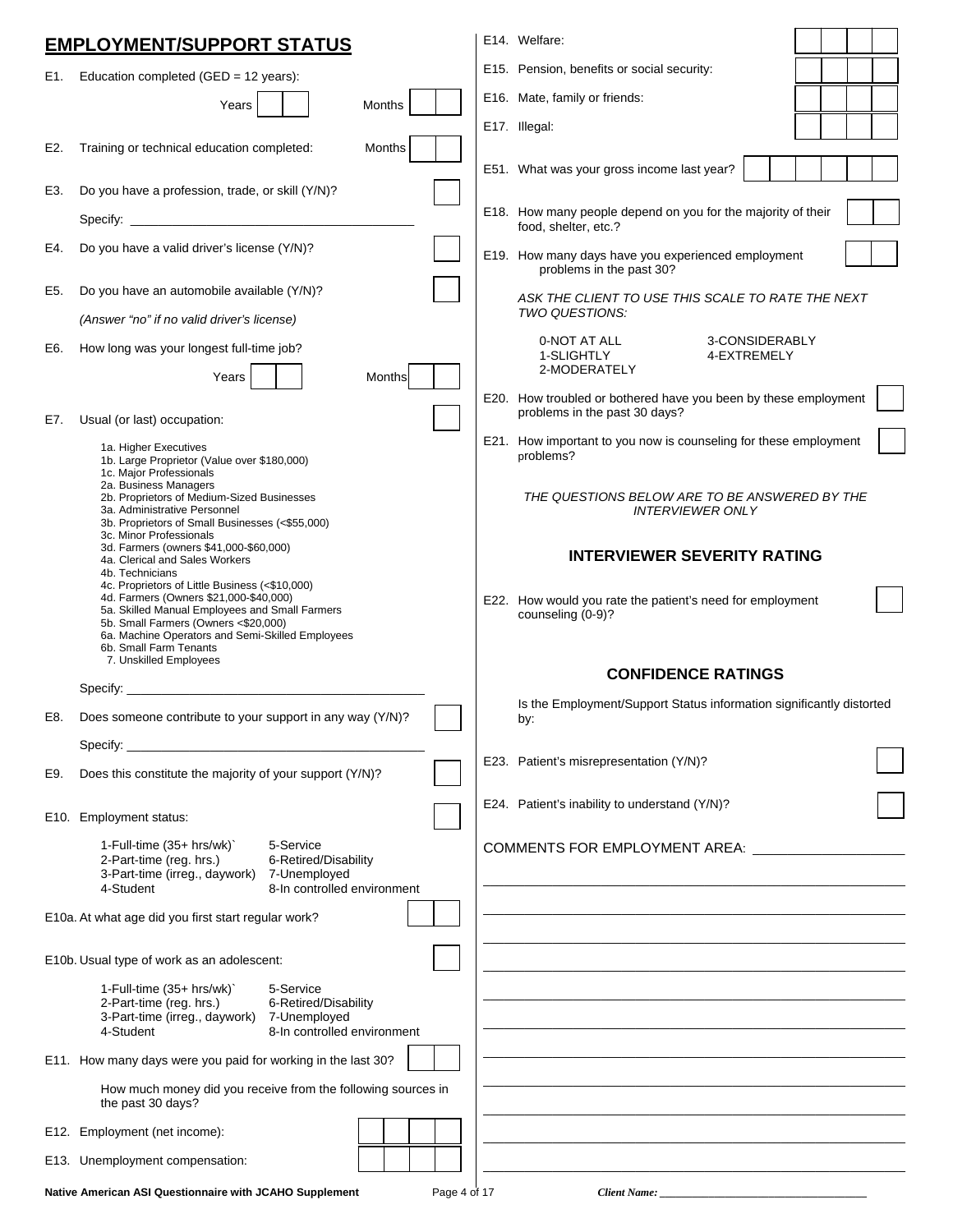|     | <b>EMPLOYMENT/SUPPORT STATUS</b>                                                                                                                                                                                                                                 |              | E14. Welfare: |                                                                                                  |  |
|-----|------------------------------------------------------------------------------------------------------------------------------------------------------------------------------------------------------------------------------------------------------------------|--------------|---------------|--------------------------------------------------------------------------------------------------|--|
| E1. | Education completed (GED = 12 years):                                                                                                                                                                                                                            |              |               | E15. Pension, benefits or social security:                                                       |  |
|     | Months<br>Years                                                                                                                                                                                                                                                  |              |               | E16. Mate, family or friends:                                                                    |  |
|     |                                                                                                                                                                                                                                                                  |              | E17. Illegal: |                                                                                                  |  |
| E2. | Months<br>Training or technical education completed:                                                                                                                                                                                                             |              |               | E51. What was your gross income last year?                                                       |  |
| E3. | Do you have a profession, trade, or skill (Y/N)?                                                                                                                                                                                                                 |              |               |                                                                                                  |  |
|     |                                                                                                                                                                                                                                                                  |              |               | E18. How many people depend on you for the majority of their<br>food, shelter, etc.?             |  |
| E4. | Do you have a valid driver's license (Y/N)?                                                                                                                                                                                                                      |              |               | E19. How many days have you experienced employment<br>problems in the past 30?                   |  |
| E5. | Do you have an automobile available (Y/N)?                                                                                                                                                                                                                       |              |               | ASK THE CLIENT TO USE THIS SCALE TO RATE THE NEXT                                                |  |
|     | (Answer "no" if no valid driver's license)                                                                                                                                                                                                                       |              |               | TWO QUESTIONS:                                                                                   |  |
| E6. | How long was your longest full-time job?<br>Months<br>Years                                                                                                                                                                                                      |              |               | 0-NOT AT ALL<br>3-CONSIDERABLY<br>1-SLIGHTLY<br>4-EXTREMELY<br>2-MODERATELY                      |  |
| E7. | Usual (or last) occupation:                                                                                                                                                                                                                                      |              |               | E20. How troubled or bothered have you been by these employment<br>problems in the past 30 days? |  |
|     | 1a. Higher Executives<br>1b. Large Proprietor (Value over \$180,000)<br>1c. Major Professionals                                                                                                                                                                  |              |               | E21. How important to you now is counseling for these employment<br>problems?                    |  |
|     | 2a. Business Managers<br>2b. Proprietors of Medium-Sized Businesses<br>3a. Administrative Personnel<br>3b. Proprietors of Small Businesses (<\$55,000)<br>3c. Minor Professionals                                                                                |              |               | THE QUESTIONS BELOW ARE TO BE ANSWERED BY THE<br><b>INTERVIEWER ONLY</b>                         |  |
|     | 3d. Farmers (owners \$41,000-\$60,000)<br>4a. Clerical and Sales Workers<br>4b. Technicians                                                                                                                                                                      |              |               | <b>INTERVIEWER SEVERITY RATING</b>                                                               |  |
|     | 4c. Proprietors of Little Business (<\$10,000)<br>4d. Farmers (Owners \$21,000-\$40,000)<br>5a. Skilled Manual Employees and Small Farmers<br>5b. Small Farmers (Owners <\$20,000)<br>6a. Machine Operators and Semi-Skilled Employees<br>6b. Small Farm Tenants |              |               | E22. How would you rate the patient's need for employment<br>counseling (0-9)?                   |  |
|     | 7. Unskilled Employees                                                                                                                                                                                                                                           |              |               | <b>CONFIDENCE RATINGS</b>                                                                        |  |
|     | Specify:                                                                                                                                                                                                                                                         |              |               | Is the Employment/Support Status information significantly distorted                             |  |
| E8. | Does someone contribute to your support in any way (Y/N)?                                                                                                                                                                                                        |              |               | by:                                                                                              |  |
|     |                                                                                                                                                                                                                                                                  |              |               | E23. Patient's misrepresentation (Y/N)?                                                          |  |
| E9. | Does this constitute the majority of your support (Y/N)?                                                                                                                                                                                                         |              |               |                                                                                                  |  |
|     | E10. Employment status:                                                                                                                                                                                                                                          |              |               | E24. Patient's inability to understand (Y/N)?                                                    |  |
|     | 1-Full-time (35+ hrs/wk)`<br>5-Service<br>2-Part-time (reg. hrs.)<br>6-Retired/Disability<br>3-Part-time (irreg., daywork) 7-Unemployed<br>8-In controlled environment<br>4-Student                                                                              |              |               | COMMENTS FOR EMPLOYMENT AREA: ________________                                                   |  |
|     | E10a. At what age did you first start regular work?                                                                                                                                                                                                              |              |               |                                                                                                  |  |
|     | E10b. Usual type of work as an adolescent:                                                                                                                                                                                                                       |              |               |                                                                                                  |  |
|     | 1-Full-time (35+ hrs/wk)`<br>5-Service<br>2-Part-time (reg. hrs.)<br>6-Retired/Disability<br>3-Part-time (irreg., daywork)<br>7-Unemployed<br>8-In controlled environment<br>4-Student                                                                           |              |               |                                                                                                  |  |
|     | E11. How many days were you paid for working in the last 30?                                                                                                                                                                                                     |              |               |                                                                                                  |  |
|     | How much money did you receive from the following sources in<br>the past 30 days?                                                                                                                                                                                |              |               |                                                                                                  |  |
|     | E12. Employment (net income):                                                                                                                                                                                                                                    |              |               |                                                                                                  |  |
|     | E13. Unemployment compensation:                                                                                                                                                                                                                                  |              |               |                                                                                                  |  |
|     | Native American ASI Questionnaire with JCAHO Supplement                                                                                                                                                                                                          | Page 4 of 17 |               |                                                                                                  |  |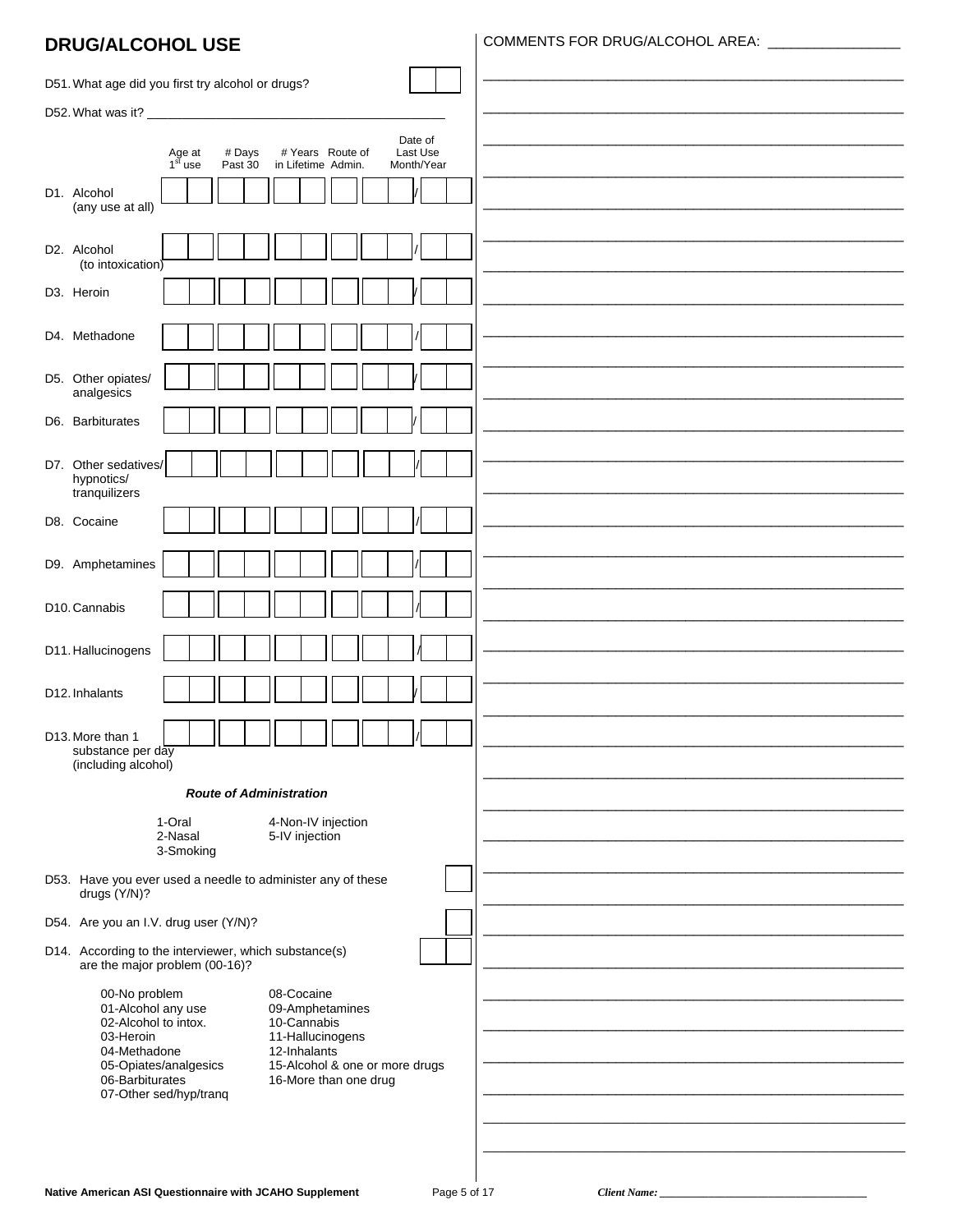### **DRUG/ALCOHOL USE**

COMMENTS FOR DRUG/ALCOHOL AREA: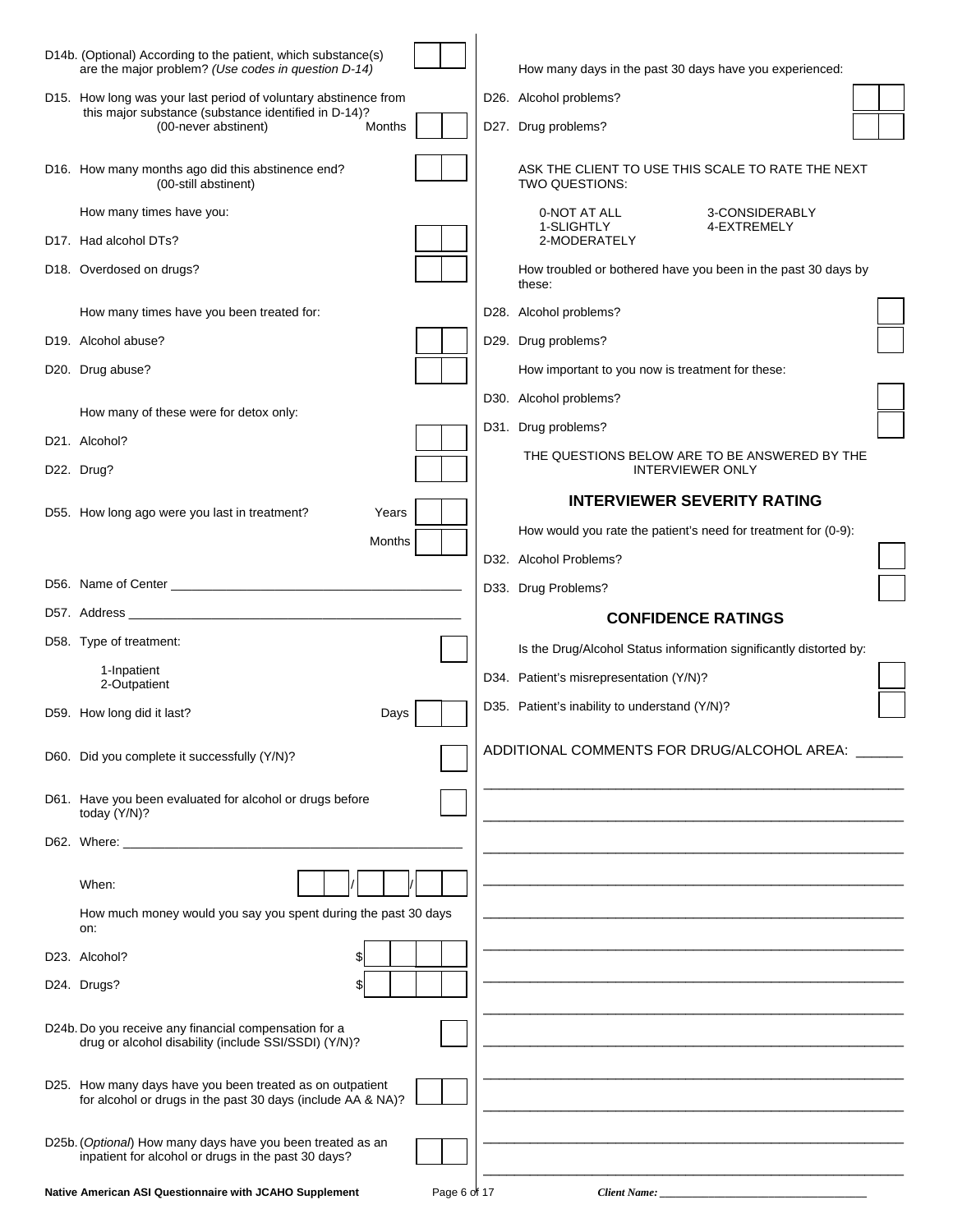| D14b. (Optional) According to the patient, which substance(s)<br>are the major problem? (Use codes in question D-14)     |        |  | How many days in the past 30 days have you experienced:                 |  |
|--------------------------------------------------------------------------------------------------------------------------|--------|--|-------------------------------------------------------------------------|--|
| D15. How long was your last period of voluntary abstinence from                                                          |        |  | D26. Alcohol problems?                                                  |  |
| this major substance (substance identified in D-14)?<br>(00-never abstinent)                                             | Months |  | D27. Drug problems?                                                     |  |
| D16. How many months ago did this abstinence end?<br>(00-still abstinent)                                                |        |  | ASK THE CLIENT TO USE THIS SCALE TO RATE THE NEXT<br>TWO QUESTIONS:     |  |
| How many times have you:                                                                                                 |        |  | 0-NOT AT ALL<br>3-CONSIDERABLY<br>1-SLIGHTLY<br>4-EXTREMELY             |  |
| D17. Had alcohol DTs?                                                                                                    |        |  | 2-MODERATELY                                                            |  |
| D18. Overdosed on drugs?                                                                                                 |        |  | How troubled or bothered have you been in the past 30 days by<br>these: |  |
| How many times have you been treated for:                                                                                |        |  | D28. Alcohol problems?                                                  |  |
| D19. Alcohol abuse?                                                                                                      |        |  | D29. Drug problems?                                                     |  |
| D20. Drug abuse?                                                                                                         |        |  | How important to you now is treatment for these:                        |  |
|                                                                                                                          |        |  | D30. Alcohol problems?                                                  |  |
| How many of these were for detox only:                                                                                   |        |  | D31. Drug problems?                                                     |  |
| D21. Alcohol?                                                                                                            |        |  | THE QUESTIONS BELOW ARE TO BE ANSWERED BY THE                           |  |
| D22. Drug?                                                                                                               |        |  | <b>INTERVIEWER ONLY</b>                                                 |  |
|                                                                                                                          |        |  | <b>INTERVIEWER SEVERITY RATING</b>                                      |  |
| D55. How long ago were you last in treatment?                                                                            | Years  |  | How would you rate the patient's need for treatment for (0-9):          |  |
|                                                                                                                          | Months |  | D32. Alcohol Problems?                                                  |  |
|                                                                                                                          |        |  | D33. Drug Problems?                                                     |  |
|                                                                                                                          |        |  |                                                                         |  |
|                                                                                                                          |        |  |                                                                         |  |
|                                                                                                                          |        |  | <b>CONFIDENCE RATINGS</b>                                               |  |
| D58. Type of treatment:                                                                                                  |        |  | Is the Drug/Alcohol Status information significantly distorted by:      |  |
| 1-Inpatient<br>2-Outpatient                                                                                              |        |  | D34. Patient's misrepresentation (Y/N)?                                 |  |
| D59. How long did it last?                                                                                               | Days   |  | D35. Patient's inability to understand (Y/N)?                           |  |
| D60. Did you complete it successfully (Y/N)?                                                                             |        |  | ADDITIONAL COMMENTS FOR DRUG/ALCOHOL AREA: _____                        |  |
| D61. Have you been evaluated for alcohol or drugs before<br>today (Y/N)?                                                 |        |  |                                                                         |  |
|                                                                                                                          |        |  |                                                                         |  |
| When:                                                                                                                    |        |  |                                                                         |  |
| How much money would you say you spent during the past 30 days<br>on:                                                    |        |  |                                                                         |  |
| D23. Alcohol?                                                                                                            |        |  |                                                                         |  |
| D24. Drugs?                                                                                                              | \$     |  |                                                                         |  |
| D24b. Do you receive any financial compensation for a<br>drug or alcohol disability (include SSI/SSDI) (Y/N)?            |        |  |                                                                         |  |
| D25. How many days have you been treated as on outpatient<br>for alcohol or drugs in the past 30 days (include AA & NA)? |        |  |                                                                         |  |
| D25b. (Optional) How many days have you been treated as an<br>inpatient for alcohol or drugs in the past 30 days?        |        |  |                                                                         |  |

**ASI Questionnaire with JCAHO Supplement Page 6 of 17**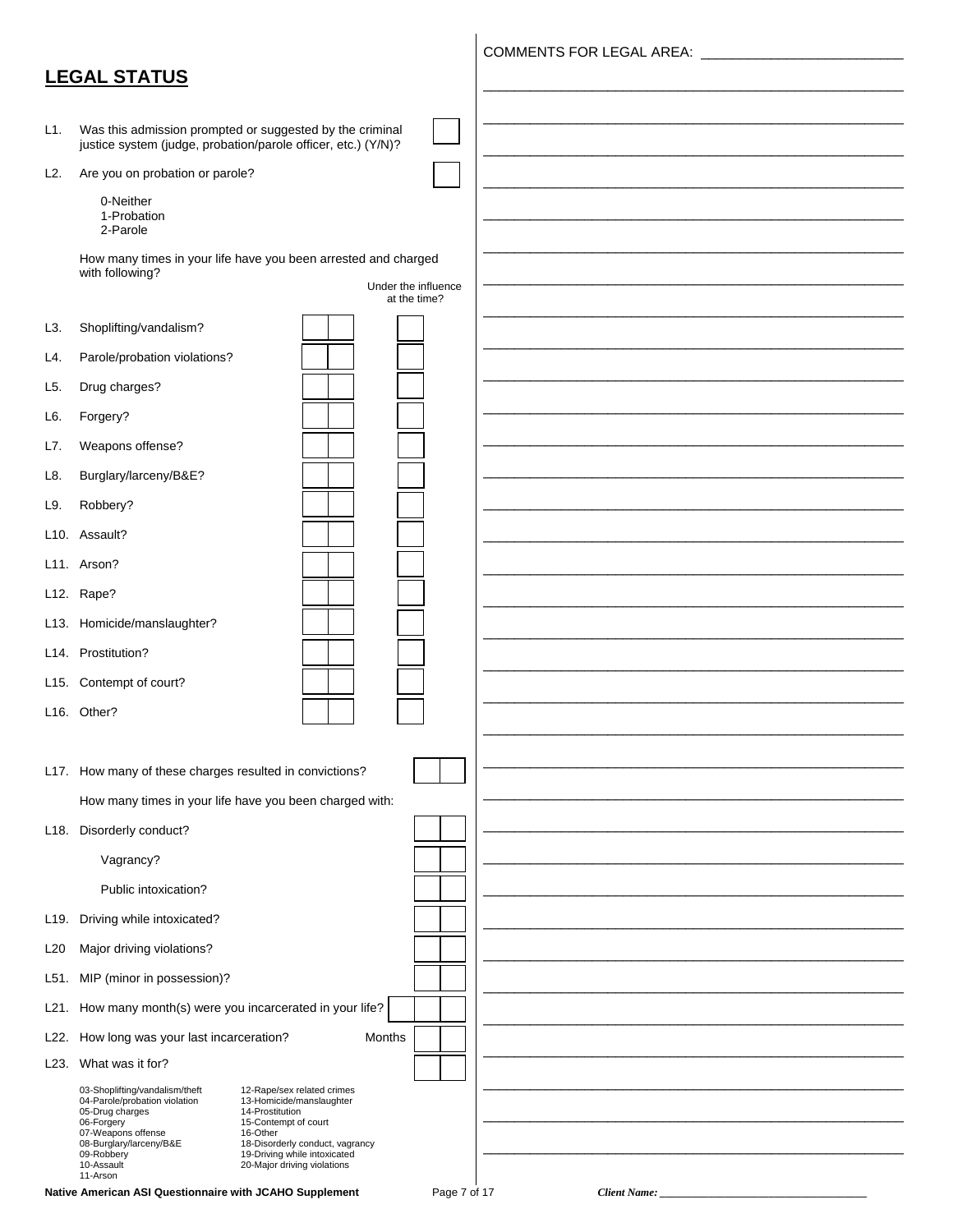|                   | <b>LEGAL STATUS</b>                                                                                                                                                                                                                                                                                                                                                                                          |  |
|-------------------|--------------------------------------------------------------------------------------------------------------------------------------------------------------------------------------------------------------------------------------------------------------------------------------------------------------------------------------------------------------------------------------------------------------|--|
|                   |                                                                                                                                                                                                                                                                                                                                                                                                              |  |
| L1.               | Was this admission prompted or suggested by the criminal<br>justice system (judge, probation/parole officer, etc.) (Y/N)?                                                                                                                                                                                                                                                                                    |  |
| L2.               | Are you on probation or parole?                                                                                                                                                                                                                                                                                                                                                                              |  |
|                   | 0-Neither<br>1-Probation<br>2-Parole                                                                                                                                                                                                                                                                                                                                                                         |  |
|                   | How many times in your life have you been arrested and charged                                                                                                                                                                                                                                                                                                                                               |  |
|                   | with following?<br>Under the influence<br>at the time?                                                                                                                                                                                                                                                                                                                                                       |  |
| L3.               | Shoplifting/vandalism?                                                                                                                                                                                                                                                                                                                                                                                       |  |
| L4.               | Parole/probation violations?                                                                                                                                                                                                                                                                                                                                                                                 |  |
| L5.               | Drug charges?                                                                                                                                                                                                                                                                                                                                                                                                |  |
| L6.               | Forgery?                                                                                                                                                                                                                                                                                                                                                                                                     |  |
| L7.               | Weapons offense?                                                                                                                                                                                                                                                                                                                                                                                             |  |
| L8.               | Burglary/larceny/B&E?                                                                                                                                                                                                                                                                                                                                                                                        |  |
| L9.               | Robbery?                                                                                                                                                                                                                                                                                                                                                                                                     |  |
|                   | L10. Assault?                                                                                                                                                                                                                                                                                                                                                                                                |  |
|                   | L11. Arson?                                                                                                                                                                                                                                                                                                                                                                                                  |  |
|                   | L12. Rape?                                                                                                                                                                                                                                                                                                                                                                                                   |  |
| L13.              | Homicide/manslaughter?                                                                                                                                                                                                                                                                                                                                                                                       |  |
|                   | L14. Prostitution?                                                                                                                                                                                                                                                                                                                                                                                           |  |
| L15.              | Contempt of court?                                                                                                                                                                                                                                                                                                                                                                                           |  |
|                   | L <sub>16</sub> . Other?                                                                                                                                                                                                                                                                                                                                                                                     |  |
|                   |                                                                                                                                                                                                                                                                                                                                                                                                              |  |
|                   | L17. How many of these charges resulted in convictions?                                                                                                                                                                                                                                                                                                                                                      |  |
|                   | How many times in your life have you been charged with:                                                                                                                                                                                                                                                                                                                                                      |  |
| L18.              | Disorderly conduct?                                                                                                                                                                                                                                                                                                                                                                                          |  |
|                   | Vagrancy?                                                                                                                                                                                                                                                                                                                                                                                                    |  |
|                   | Public intoxication?                                                                                                                                                                                                                                                                                                                                                                                         |  |
| L <sub>19</sub> . | Driving while intoxicated?                                                                                                                                                                                                                                                                                                                                                                                   |  |
| L <sub>20</sub>   | Major driving violations?                                                                                                                                                                                                                                                                                                                                                                                    |  |
| L51.              | MIP (minor in possession)?                                                                                                                                                                                                                                                                                                                                                                                   |  |
| L21.              | How many month(s) were you incarcerated in your life?                                                                                                                                                                                                                                                                                                                                                        |  |
| L22.              | Months<br>How long was your last incarceration?                                                                                                                                                                                                                                                                                                                                                              |  |
| L23.              | What was it for?                                                                                                                                                                                                                                                                                                                                                                                             |  |
|                   | 03-Shoplifting/vandalism/theft<br>12-Rape/sex related crimes<br>04-Parole/probation violation<br>13-Homicide/manslaughter<br>05-Drug charges<br>14-Prostitution<br>06-Forgery<br>15-Contempt of court<br>07-Weapons offense<br>16-Other<br>08-Burglary/larceny/B&E<br>18-Disorderly conduct, vagrancy<br>09-Robbery<br>19-Driving while intoxicated<br>10-Assault<br>20-Major driving violations<br>11-Arson |  |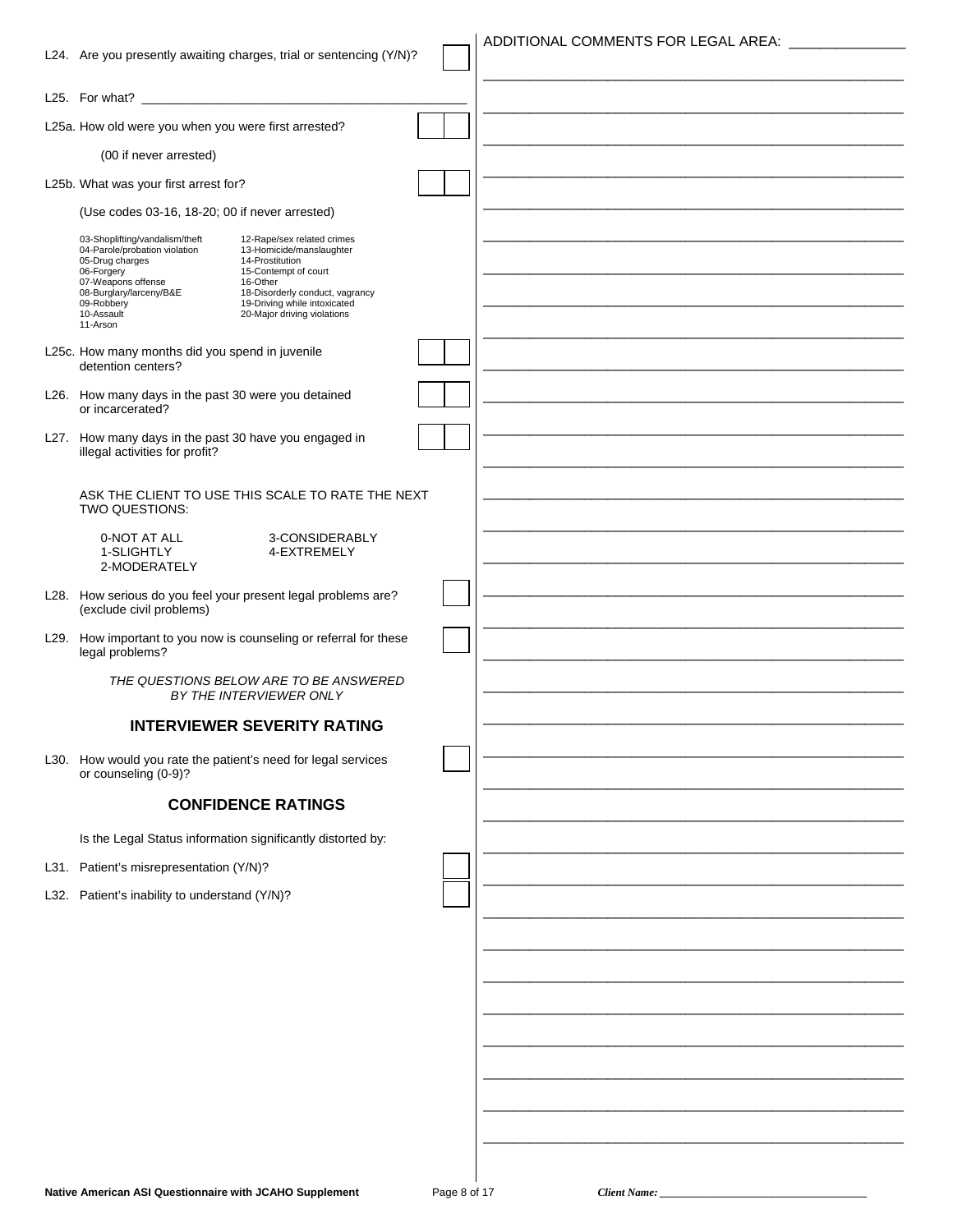|                                                                                                                                                                                           | L24. Are you presently awaiting charges, trial or sentencing (Y/N)?                                                                                                                                             | ADDITIONAL COMMENTS FOR LEGAL AREA: ______________ |
|-------------------------------------------------------------------------------------------------------------------------------------------------------------------------------------------|-----------------------------------------------------------------------------------------------------------------------------------------------------------------------------------------------------------------|----------------------------------------------------|
|                                                                                                                                                                                           |                                                                                                                                                                                                                 |                                                    |
| L25a. How old were you when you were first arrested?                                                                                                                                      |                                                                                                                                                                                                                 |                                                    |
| (00 if never arrested)                                                                                                                                                                    |                                                                                                                                                                                                                 |                                                    |
| L25b. What was your first arrest for?                                                                                                                                                     |                                                                                                                                                                                                                 |                                                    |
| (Use codes 03-16, 18-20; 00 if never arrested)                                                                                                                                            |                                                                                                                                                                                                                 |                                                    |
| 03-Shoplifting/vandalism/theft<br>04-Parole/probation violation<br>05-Drug charges<br>06-Forgery<br>07-Weapons offense<br>08-Burglary/larceny/B&E<br>09-Robbery<br>10-Assault<br>11-Arson | 12-Rape/sex related crimes<br>13-Homicide/manslaughter<br>14-Prostitution<br>15-Contempt of court<br>16-Other<br>18-Disorderly conduct, vagrancy<br>19-Driving while intoxicated<br>20-Major driving violations |                                                    |
| L25c. How many months did you spend in juvenile<br>detention centers?                                                                                                                     |                                                                                                                                                                                                                 |                                                    |
| L26. How many days in the past 30 were you detained<br>or incarcerated?                                                                                                                   |                                                                                                                                                                                                                 |                                                    |
| L27. How many days in the past 30 have you engaged in<br>illegal activities for profit?                                                                                                   |                                                                                                                                                                                                                 |                                                    |
| TWO QUESTIONS:                                                                                                                                                                            | ASK THE CLIENT TO USE THIS SCALE TO RATE THE NEXT                                                                                                                                                               |                                                    |
| 0-NOT AT ALL<br>1-SLIGHTLY<br>2-MODERATELY                                                                                                                                                | 3-CONSIDERABLY<br>4-EXTREMELY                                                                                                                                                                                   |                                                    |
| L28. How serious do you feel your present legal problems are?<br>(exclude civil problems)                                                                                                 |                                                                                                                                                                                                                 |                                                    |
| legal problems?                                                                                                                                                                           | L29. How important to you now is counseling or referral for these                                                                                                                                               |                                                    |
|                                                                                                                                                                                           | THE QUESTIONS BELOW ARE TO BE ANSWERED<br>BY THE INTERVIEWER ONLY                                                                                                                                               |                                                    |
|                                                                                                                                                                                           | <b>INTERVIEWER SEVERITY RATING</b>                                                                                                                                                                              |                                                    |
| L30. How would you rate the patient's need for legal services<br>or counseling (0-9)?                                                                                                     |                                                                                                                                                                                                                 |                                                    |
|                                                                                                                                                                                           | <b>CONFIDENCE RATINGS</b>                                                                                                                                                                                       |                                                    |
| Is the Legal Status information significantly distorted by:                                                                                                                               |                                                                                                                                                                                                                 |                                                    |
| L31. Patient's misrepresentation (Y/N)?                                                                                                                                                   |                                                                                                                                                                                                                 |                                                    |
| L32. Patient's inability to understand (Y/N)?                                                                                                                                             |                                                                                                                                                                                                                 |                                                    |
|                                                                                                                                                                                           |                                                                                                                                                                                                                 |                                                    |
|                                                                                                                                                                                           |                                                                                                                                                                                                                 |                                                    |
|                                                                                                                                                                                           |                                                                                                                                                                                                                 |                                                    |
|                                                                                                                                                                                           |                                                                                                                                                                                                                 |                                                    |
|                                                                                                                                                                                           |                                                                                                                                                                                                                 |                                                    |
|                                                                                                                                                                                           |                                                                                                                                                                                                                 |                                                    |
|                                                                                                                                                                                           |                                                                                                                                                                                                                 |                                                    |
|                                                                                                                                                                                           |                                                                                                                                                                                                                 |                                                    |
|                                                                                                                                                                                           |                                                                                                                                                                                                                 |                                                    |

 $\overline{\phantom{a}}$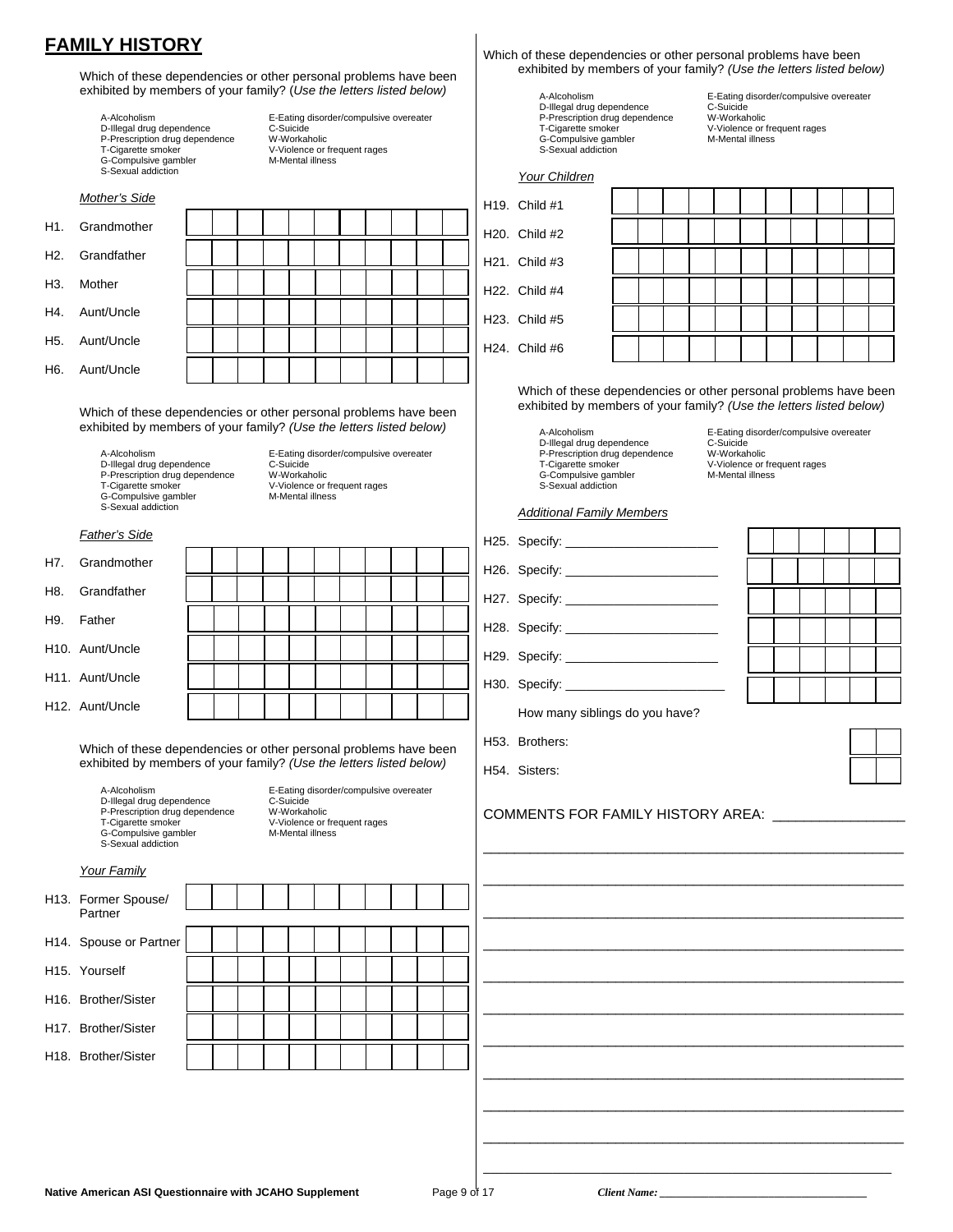# **FAMILY HISTORY**

Which of these dependencies or other personal problems have been exhibited by members of your family? (*Use the letters listed below)*

| A-Alcoholism                  |
|-------------------------------|
| D-Illegal drug dependence     |
| P-Prescription drug dependend |
| T-Cigarette smoker            |
| G-Compulsive gambler          |
| S-Sexual addiction            |

 A-Alcoholism E-Eating disorder/compulsive overeater D-Illegal drug dependence C-Suicide e W-Workaholic V-Violence or frequent rages M-Mental illness

|                  | Mother's Side |  |  |  |  |  |  |
|------------------|---------------|--|--|--|--|--|--|
| H1.              | Grandmother   |  |  |  |  |  |  |
| H2.              | Grandfather   |  |  |  |  |  |  |
| H3.              | Mother        |  |  |  |  |  |  |
| H4.              | Aunt/Uncle    |  |  |  |  |  |  |
| H <sub>5</sub> . | Aunt/Uncle    |  |  |  |  |  |  |
| H <sub>6</sub> . | Aunt/Uncle    |  |  |  |  |  |  |

 Which of these dependencies or other personal problems have been exhibited by members of your family? *(Use the letters listed below)*

- D-Illegal drug dependence C-Suicide P-Prescription drug dependence<br>T-Cigarette smoker G-Compulsive gambler S-Sexual addiction
- A-Alcoholism E-Eating disorder/compulsive overeater Transmoker<br>V-Violence or frequent rages<br>M-Mental illness

#### *Father's Side*

|     | H7. Grandmother              |  |  |  |  |  |  |
|-----|------------------------------|--|--|--|--|--|--|
| H8. | Grandfather                  |  |  |  |  |  |  |
| H9. | Father                       |  |  |  |  |  |  |
|     | H <sub>10</sub> . Aunt/Uncle |  |  |  |  |  |  |
|     | H11. Aunt/Uncle              |  |  |  |  |  |  |
|     | H <sub>12</sub> . Aunt/Uncle |  |  |  |  |  |  |

 Which of these dependencies or other personal problems have been exhibited by members of your family? *(Use the letters listed below)*

| A-Alcoholism                 |
|------------------------------|
| D-Illegal drug dependence    |
| P-Prescription drug depender |
| T-Cigarette smoker           |
| G-Compulsive gambler         |
| S-Sexual addiction           |

E-Eating disorder/compulsive overeater C-Suicide<br>
M-Workah P-Prescription drug dependence W-Workaholic V-Violence or frequent rages M-Mental illness

#### *Your Family*

| H13. Former Spouse/<br>Partner   |  |  |  |  |  |  |
|----------------------------------|--|--|--|--|--|--|
| H14. Spouse or Partner           |  |  |  |  |  |  |
| H <sub>15</sub> . Yourself       |  |  |  |  |  |  |
| H <sub>16</sub> . Brother/Sister |  |  |  |  |  |  |
| H17. Brother/Sister              |  |  |  |  |  |  |
| H18. Brother/Sister              |  |  |  |  |  |  |
|                                  |  |  |  |  |  |  |

### Which of these dependencies or other personal problems have been exhibited by members of your family? *(Use the letters listed below)*

D-Illegal drug dependence C-Suicide<br>
P-Prescription drug dependence W-Workaholic P-Prescription drug dependence W-Workaholic T-Cigarette smoker V-Violence or frequent rages G-Compulsive gambler M-Mental illness S-Sexual addiction

A-Alcoholism **E-Eating disorder/compulsive overeater**<br>
D-Illegal drug dependence **C-Suicide** 

**Your Childr** 

H19. Child #1 H20. Child #2 H21. Child #3 H22. Child #4 H23. Child #5 H24. Child #6

| <u>еп</u> |  |  |  |  |  |  |
|-----------|--|--|--|--|--|--|
|           |  |  |  |  |  |  |
|           |  |  |  |  |  |  |
|           |  |  |  |  |  |  |
|           |  |  |  |  |  |  |
|           |  |  |  |  |  |  |
|           |  |  |  |  |  |  |

 Which of these dependencies or other personal problems have been exhibited by members of your family? *(Use the letters listed below)*

D-Illegal drug dependence<br>
P-Prescription drug dependence<br>
W-Workaholic G-Compulsive gambler M-Mental illness S-Sexual addiction

A-Alcoholism E-Eating disorder/compulsive overeater

### *Additional Family Members*

H25. Specify: H26. Specify: \_ H27. Specify:  $\_$ 

| H28. Specify: |  |
|---------------|--|
|               |  |

H29. Specify:

|  | H30. Specify: |  |
|--|---------------|--|
|--|---------------|--|

How many siblings do you have?

\_\_\_\_\_\_\_\_\_\_\_\_\_\_\_\_\_\_\_\_\_\_\_\_\_\_\_\_\_\_\_\_\_\_\_\_\_\_\_\_\_\_\_\_\_\_\_\_\_\_\_\_\_\_

\_\_\_\_\_\_\_\_\_\_\_\_\_\_\_\_\_\_\_\_\_\_\_\_\_\_\_\_\_\_\_\_\_\_\_\_\_\_\_\_\_\_\_\_\_\_\_\_\_\_\_\_\_\_

\_\_\_\_\_\_\_\_\_\_\_\_\_\_\_\_\_\_\_\_\_\_\_\_\_\_\_\_\_\_\_\_\_\_\_\_\_\_\_\_\_\_\_\_\_\_\_\_\_\_\_\_\_\_

\_\_\_\_\_\_\_\_\_\_\_\_\_\_\_\_\_\_\_\_\_\_\_\_\_\_\_\_\_\_\_\_\_\_\_\_\_\_\_\_\_\_\_\_\_\_\_\_\_\_\_\_\_\_

\_\_\_\_\_\_\_\_\_\_\_\_\_\_\_\_\_\_\_\_\_\_\_\_\_\_\_\_\_\_\_\_\_\_\_\_\_\_\_\_\_\_\_\_\_\_\_\_\_\_\_\_\_\_

\_\_\_\_\_\_\_\_\_\_\_\_\_\_\_\_\_\_\_\_\_\_\_\_\_\_\_\_\_\_\_\_\_\_\_\_\_\_\_\_\_\_\_\_\_\_\_\_\_\_\_\_\_\_

\_\_\_\_\_\_\_\_\_\_\_\_\_\_\_\_\_\_\_\_\_\_\_\_\_\_\_\_\_\_\_\_\_\_\_\_\_\_\_\_\_\_\_\_\_\_\_\_\_\_\_\_\_\_

\_\_\_\_\_\_\_\_\_\_\_\_\_\_\_\_\_\_\_\_\_\_\_\_\_\_\_\_\_\_\_\_\_\_\_\_\_\_\_\_\_\_\_\_\_\_\_\_\_\_\_\_\_\_

\_\_\_\_\_\_\_\_\_\_\_\_\_\_\_\_\_\_\_\_\_\_\_\_\_\_\_\_\_\_\_\_\_\_\_\_\_\_\_\_\_\_\_\_\_\_\_\_\_\_\_\_\_\_

\_\_\_\_\_\_\_\_\_\_\_\_\_\_\_\_\_\_\_\_\_\_\_\_\_\_\_\_\_\_\_\_\_\_\_\_\_\_\_\_\_\_\_\_\_\_\_\_\_\_\_\_\_\_

\_\_\_\_\_\_\_\_\_\_\_\_\_\_\_\_\_\_\_\_\_\_\_\_\_\_\_\_\_\_\_\_\_\_\_\_\_\_\_\_\_\_\_\_\_\_\_\_\_\_\_\_\_\_\_\_\_\_\_



| Native American ASI Questionnaire with JCAHO Supplement | Page 9<br>Jot∶ | Llient Name: |
|---------------------------------------------------------|----------------|--------------|

| H53. Brothers: |  |
|----------------|--|
| H54. Sisters:  |  |

COMMENTS FOR FAMILY HISTORY AREA: \_

P-Prescription drug dependence W-Workaholic T-Cigarette smoker V-Violence or frequent rages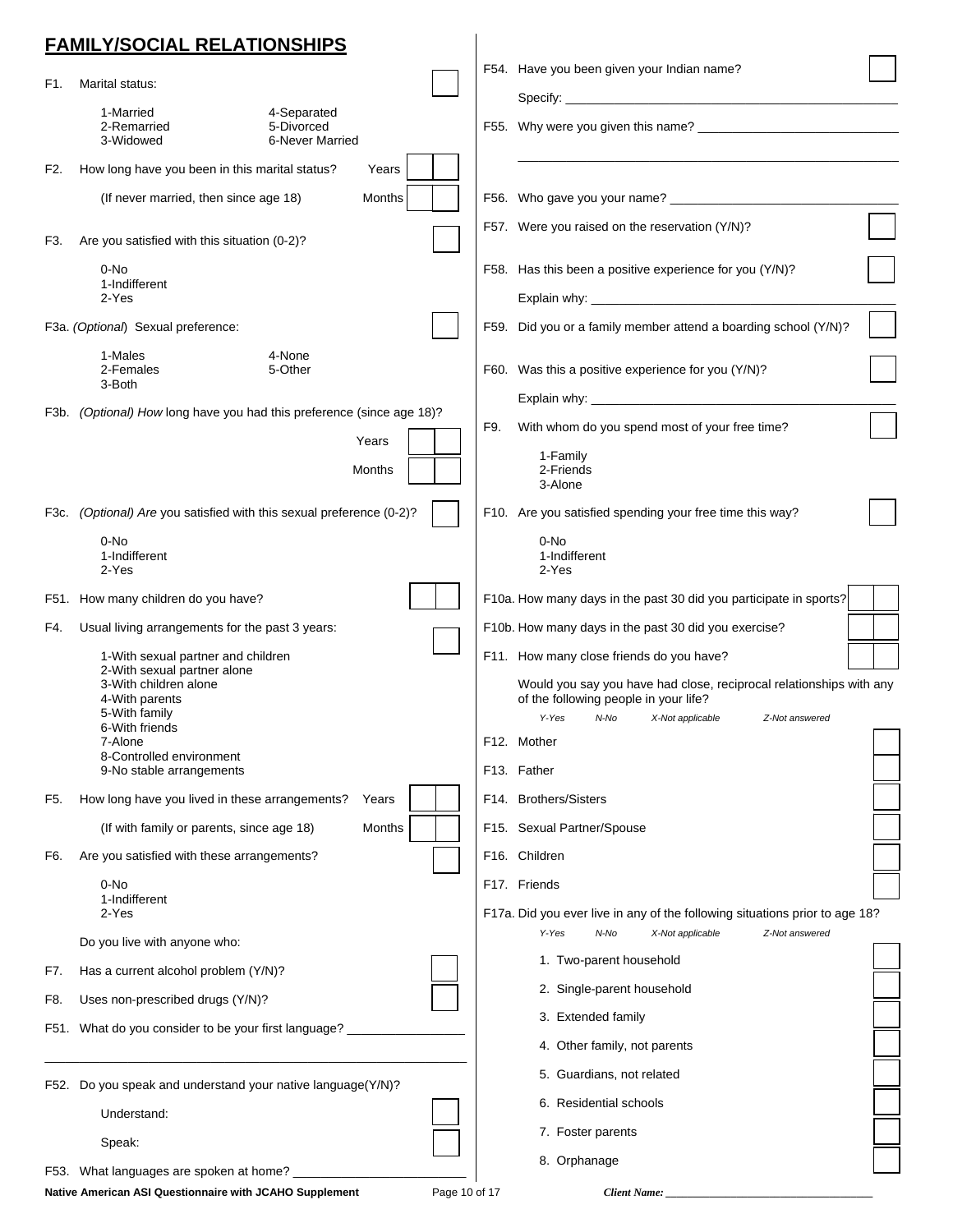| F54. Have you been given your Indian name?<br>Marital status:<br>F1.<br>1-Married<br>4-Separated<br>5-Divorced<br>F55. Why were you given this name?<br>2-Remarried<br>3-Widowed<br>6-Never Married<br>How long have you been in this marital status?<br>F2.<br>Years<br>(If never married, then since age 18)<br>Months<br>F57. Were you raised on the reservation (Y/N)?<br>Are you satisfied with this situation (0-2)?<br>F3.<br>F58. Has this been a positive experience for you (Y/N)?<br>0-No<br>1-Indifferent<br>2-Yes<br>F59. Did you or a family member attend a boarding school (Y/N)?<br>F3a. (Optional) Sexual preference:<br>1-Males<br>4-None<br>2-Females<br>5-Other<br>F60. Was this a positive experience for you (Y/N)?<br>3-Both<br>F3b. (Optional) How long have you had this preference (since age 18)?<br>F9.<br>With whom do you spend most of your free time?<br>Years<br>1-Family<br>2-Friends<br>Months<br>3-Alone<br>F3c. (Optional) Are you satisfied with this sexual preference (0-2)?<br>F10. Are you satisfied spending your free time this way?<br>0-No<br>0-No<br>1-Indifferent<br>1-Indifferent<br>2-Yes<br>2-Yes<br>F51. How many children do you have?<br>F10a. How many days in the past 30 did you participate in sports?<br>Usual living arrangements for the past 3 years:<br>F10b. How many days in the past 30 did you exercise?<br>F4.<br>F11. How many close friends do you have?<br>1-With sexual partner and children<br>2-With sexual partner alone<br>3-With children alone<br>Would you say you have had close, reciprocal relationships with any<br>of the following people in your life?<br>4-With parents<br>5-With family<br>Y-Yes<br>N-No<br>X-Not applicable<br>Z-Not answered<br>6-With friends<br>F12. Mother<br>7-Alone<br>8-Controlled environment<br>F13. Father<br>9-No stable arrangements<br>F14. Brothers/Sisters<br>How long have you lived in these arrangements?<br>F5.<br>Years<br>(If with family or parents, since age 18)<br>Months<br>F15. Sexual Partner/Spouse<br>F16. Children<br>Are you satisfied with these arrangements?<br>F6.<br>0-No<br>F17. Friends<br>1-Indifferent<br>2-Yes<br>F17a. Did you ever live in any of the following situations prior to age 18?<br>N-No<br>Y-Yes<br>X-Not applicable<br>Z-Not answered<br>Do you live with anyone who:<br>1. Two-parent household<br>Has a current alcohol problem (Y/N)?<br>F7.<br>2. Single-parent household<br>Uses non-prescribed drugs (Y/N)?<br>F8.<br>3. Extended family<br>F51. What do you consider to be your first language? __________<br>4. Other family, not parents<br>5. Guardians, not related<br>F52. Do you speak and understand your native language (Y/N)?<br>6. Residential schools<br>Understand:<br>7. Foster parents<br>Speak:<br>8. Orphanage<br>F53. What languages are spoken at home? ___________ | <b>FAMILY/SOCIAL RELATIONSHIPS</b> |  |  |
|------------------------------------------------------------------------------------------------------------------------------------------------------------------------------------------------------------------------------------------------------------------------------------------------------------------------------------------------------------------------------------------------------------------------------------------------------------------------------------------------------------------------------------------------------------------------------------------------------------------------------------------------------------------------------------------------------------------------------------------------------------------------------------------------------------------------------------------------------------------------------------------------------------------------------------------------------------------------------------------------------------------------------------------------------------------------------------------------------------------------------------------------------------------------------------------------------------------------------------------------------------------------------------------------------------------------------------------------------------------------------------------------------------------------------------------------------------------------------------------------------------------------------------------------------------------------------------------------------------------------------------------------------------------------------------------------------------------------------------------------------------------------------------------------------------------------------------------------------------------------------------------------------------------------------------------------------------------------------------------------------------------------------------------------------------------------------------------------------------------------------------------------------------------------------------------------------------------------------------------------------------------------------------------------------------------------------------------------------------------------------------------------------------------------------------------------------------------------------------------------------------------------------------------------------------------------------------------------------------------------------------------------------------------------------------------------------------------------------------------------------------------------------------------------------------------------------------------------------------------|------------------------------------|--|--|
|                                                                                                                                                                                                                                                                                                                                                                                                                                                                                                                                                                                                                                                                                                                                                                                                                                                                                                                                                                                                                                                                                                                                                                                                                                                                                                                                                                                                                                                                                                                                                                                                                                                                                                                                                                                                                                                                                                                                                                                                                                                                                                                                                                                                                                                                                                                                                                                                                                                                                                                                                                                                                                                                                                                                                                                                                                                                  |                                    |  |  |
|                                                                                                                                                                                                                                                                                                                                                                                                                                                                                                                                                                                                                                                                                                                                                                                                                                                                                                                                                                                                                                                                                                                                                                                                                                                                                                                                                                                                                                                                                                                                                                                                                                                                                                                                                                                                                                                                                                                                                                                                                                                                                                                                                                                                                                                                                                                                                                                                                                                                                                                                                                                                                                                                                                                                                                                                                                                                  |                                    |  |  |
|                                                                                                                                                                                                                                                                                                                                                                                                                                                                                                                                                                                                                                                                                                                                                                                                                                                                                                                                                                                                                                                                                                                                                                                                                                                                                                                                                                                                                                                                                                                                                                                                                                                                                                                                                                                                                                                                                                                                                                                                                                                                                                                                                                                                                                                                                                                                                                                                                                                                                                                                                                                                                                                                                                                                                                                                                                                                  |                                    |  |  |
|                                                                                                                                                                                                                                                                                                                                                                                                                                                                                                                                                                                                                                                                                                                                                                                                                                                                                                                                                                                                                                                                                                                                                                                                                                                                                                                                                                                                                                                                                                                                                                                                                                                                                                                                                                                                                                                                                                                                                                                                                                                                                                                                                                                                                                                                                                                                                                                                                                                                                                                                                                                                                                                                                                                                                                                                                                                                  |                                    |  |  |
|                                                                                                                                                                                                                                                                                                                                                                                                                                                                                                                                                                                                                                                                                                                                                                                                                                                                                                                                                                                                                                                                                                                                                                                                                                                                                                                                                                                                                                                                                                                                                                                                                                                                                                                                                                                                                                                                                                                                                                                                                                                                                                                                                                                                                                                                                                                                                                                                                                                                                                                                                                                                                                                                                                                                                                                                                                                                  |                                    |  |  |
|                                                                                                                                                                                                                                                                                                                                                                                                                                                                                                                                                                                                                                                                                                                                                                                                                                                                                                                                                                                                                                                                                                                                                                                                                                                                                                                                                                                                                                                                                                                                                                                                                                                                                                                                                                                                                                                                                                                                                                                                                                                                                                                                                                                                                                                                                                                                                                                                                                                                                                                                                                                                                                                                                                                                                                                                                                                                  |                                    |  |  |
|                                                                                                                                                                                                                                                                                                                                                                                                                                                                                                                                                                                                                                                                                                                                                                                                                                                                                                                                                                                                                                                                                                                                                                                                                                                                                                                                                                                                                                                                                                                                                                                                                                                                                                                                                                                                                                                                                                                                                                                                                                                                                                                                                                                                                                                                                                                                                                                                                                                                                                                                                                                                                                                                                                                                                                                                                                                                  |                                    |  |  |
|                                                                                                                                                                                                                                                                                                                                                                                                                                                                                                                                                                                                                                                                                                                                                                                                                                                                                                                                                                                                                                                                                                                                                                                                                                                                                                                                                                                                                                                                                                                                                                                                                                                                                                                                                                                                                                                                                                                                                                                                                                                                                                                                                                                                                                                                                                                                                                                                                                                                                                                                                                                                                                                                                                                                                                                                                                                                  |                                    |  |  |
|                                                                                                                                                                                                                                                                                                                                                                                                                                                                                                                                                                                                                                                                                                                                                                                                                                                                                                                                                                                                                                                                                                                                                                                                                                                                                                                                                                                                                                                                                                                                                                                                                                                                                                                                                                                                                                                                                                                                                                                                                                                                                                                                                                                                                                                                                                                                                                                                                                                                                                                                                                                                                                                                                                                                                                                                                                                                  |                                    |  |  |
|                                                                                                                                                                                                                                                                                                                                                                                                                                                                                                                                                                                                                                                                                                                                                                                                                                                                                                                                                                                                                                                                                                                                                                                                                                                                                                                                                                                                                                                                                                                                                                                                                                                                                                                                                                                                                                                                                                                                                                                                                                                                                                                                                                                                                                                                                                                                                                                                                                                                                                                                                                                                                                                                                                                                                                                                                                                                  |                                    |  |  |
|                                                                                                                                                                                                                                                                                                                                                                                                                                                                                                                                                                                                                                                                                                                                                                                                                                                                                                                                                                                                                                                                                                                                                                                                                                                                                                                                                                                                                                                                                                                                                                                                                                                                                                                                                                                                                                                                                                                                                                                                                                                                                                                                                                                                                                                                                                                                                                                                                                                                                                                                                                                                                                                                                                                                                                                                                                                                  |                                    |  |  |
|                                                                                                                                                                                                                                                                                                                                                                                                                                                                                                                                                                                                                                                                                                                                                                                                                                                                                                                                                                                                                                                                                                                                                                                                                                                                                                                                                                                                                                                                                                                                                                                                                                                                                                                                                                                                                                                                                                                                                                                                                                                                                                                                                                                                                                                                                                                                                                                                                                                                                                                                                                                                                                                                                                                                                                                                                                                                  |                                    |  |  |
|                                                                                                                                                                                                                                                                                                                                                                                                                                                                                                                                                                                                                                                                                                                                                                                                                                                                                                                                                                                                                                                                                                                                                                                                                                                                                                                                                                                                                                                                                                                                                                                                                                                                                                                                                                                                                                                                                                                                                                                                                                                                                                                                                                                                                                                                                                                                                                                                                                                                                                                                                                                                                                                                                                                                                                                                                                                                  |                                    |  |  |
|                                                                                                                                                                                                                                                                                                                                                                                                                                                                                                                                                                                                                                                                                                                                                                                                                                                                                                                                                                                                                                                                                                                                                                                                                                                                                                                                                                                                                                                                                                                                                                                                                                                                                                                                                                                                                                                                                                                                                                                                                                                                                                                                                                                                                                                                                                                                                                                                                                                                                                                                                                                                                                                                                                                                                                                                                                                                  |                                    |  |  |
|                                                                                                                                                                                                                                                                                                                                                                                                                                                                                                                                                                                                                                                                                                                                                                                                                                                                                                                                                                                                                                                                                                                                                                                                                                                                                                                                                                                                                                                                                                                                                                                                                                                                                                                                                                                                                                                                                                                                                                                                                                                                                                                                                                                                                                                                                                                                                                                                                                                                                                                                                                                                                                                                                                                                                                                                                                                                  |                                    |  |  |
|                                                                                                                                                                                                                                                                                                                                                                                                                                                                                                                                                                                                                                                                                                                                                                                                                                                                                                                                                                                                                                                                                                                                                                                                                                                                                                                                                                                                                                                                                                                                                                                                                                                                                                                                                                                                                                                                                                                                                                                                                                                                                                                                                                                                                                                                                                                                                                                                                                                                                                                                                                                                                                                                                                                                                                                                                                                                  |                                    |  |  |
|                                                                                                                                                                                                                                                                                                                                                                                                                                                                                                                                                                                                                                                                                                                                                                                                                                                                                                                                                                                                                                                                                                                                                                                                                                                                                                                                                                                                                                                                                                                                                                                                                                                                                                                                                                                                                                                                                                                                                                                                                                                                                                                                                                                                                                                                                                                                                                                                                                                                                                                                                                                                                                                                                                                                                                                                                                                                  |                                    |  |  |
|                                                                                                                                                                                                                                                                                                                                                                                                                                                                                                                                                                                                                                                                                                                                                                                                                                                                                                                                                                                                                                                                                                                                                                                                                                                                                                                                                                                                                                                                                                                                                                                                                                                                                                                                                                                                                                                                                                                                                                                                                                                                                                                                                                                                                                                                                                                                                                                                                                                                                                                                                                                                                                                                                                                                                                                                                                                                  |                                    |  |  |
|                                                                                                                                                                                                                                                                                                                                                                                                                                                                                                                                                                                                                                                                                                                                                                                                                                                                                                                                                                                                                                                                                                                                                                                                                                                                                                                                                                                                                                                                                                                                                                                                                                                                                                                                                                                                                                                                                                                                                                                                                                                                                                                                                                                                                                                                                                                                                                                                                                                                                                                                                                                                                                                                                                                                                                                                                                                                  |                                    |  |  |
|                                                                                                                                                                                                                                                                                                                                                                                                                                                                                                                                                                                                                                                                                                                                                                                                                                                                                                                                                                                                                                                                                                                                                                                                                                                                                                                                                                                                                                                                                                                                                                                                                                                                                                                                                                                                                                                                                                                                                                                                                                                                                                                                                                                                                                                                                                                                                                                                                                                                                                                                                                                                                                                                                                                                                                                                                                                                  |                                    |  |  |
|                                                                                                                                                                                                                                                                                                                                                                                                                                                                                                                                                                                                                                                                                                                                                                                                                                                                                                                                                                                                                                                                                                                                                                                                                                                                                                                                                                                                                                                                                                                                                                                                                                                                                                                                                                                                                                                                                                                                                                                                                                                                                                                                                                                                                                                                                                                                                                                                                                                                                                                                                                                                                                                                                                                                                                                                                                                                  |                                    |  |  |
|                                                                                                                                                                                                                                                                                                                                                                                                                                                                                                                                                                                                                                                                                                                                                                                                                                                                                                                                                                                                                                                                                                                                                                                                                                                                                                                                                                                                                                                                                                                                                                                                                                                                                                                                                                                                                                                                                                                                                                                                                                                                                                                                                                                                                                                                                                                                                                                                                                                                                                                                                                                                                                                                                                                                                                                                                                                                  |                                    |  |  |
|                                                                                                                                                                                                                                                                                                                                                                                                                                                                                                                                                                                                                                                                                                                                                                                                                                                                                                                                                                                                                                                                                                                                                                                                                                                                                                                                                                                                                                                                                                                                                                                                                                                                                                                                                                                                                                                                                                                                                                                                                                                                                                                                                                                                                                                                                                                                                                                                                                                                                                                                                                                                                                                                                                                                                                                                                                                                  |                                    |  |  |
|                                                                                                                                                                                                                                                                                                                                                                                                                                                                                                                                                                                                                                                                                                                                                                                                                                                                                                                                                                                                                                                                                                                                                                                                                                                                                                                                                                                                                                                                                                                                                                                                                                                                                                                                                                                                                                                                                                                                                                                                                                                                                                                                                                                                                                                                                                                                                                                                                                                                                                                                                                                                                                                                                                                                                                                                                                                                  |                                    |  |  |
|                                                                                                                                                                                                                                                                                                                                                                                                                                                                                                                                                                                                                                                                                                                                                                                                                                                                                                                                                                                                                                                                                                                                                                                                                                                                                                                                                                                                                                                                                                                                                                                                                                                                                                                                                                                                                                                                                                                                                                                                                                                                                                                                                                                                                                                                                                                                                                                                                                                                                                                                                                                                                                                                                                                                                                                                                                                                  |                                    |  |  |
|                                                                                                                                                                                                                                                                                                                                                                                                                                                                                                                                                                                                                                                                                                                                                                                                                                                                                                                                                                                                                                                                                                                                                                                                                                                                                                                                                                                                                                                                                                                                                                                                                                                                                                                                                                                                                                                                                                                                                                                                                                                                                                                                                                                                                                                                                                                                                                                                                                                                                                                                                                                                                                                                                                                                                                                                                                                                  |                                    |  |  |
|                                                                                                                                                                                                                                                                                                                                                                                                                                                                                                                                                                                                                                                                                                                                                                                                                                                                                                                                                                                                                                                                                                                                                                                                                                                                                                                                                                                                                                                                                                                                                                                                                                                                                                                                                                                                                                                                                                                                                                                                                                                                                                                                                                                                                                                                                                                                                                                                                                                                                                                                                                                                                                                                                                                                                                                                                                                                  |                                    |  |  |
|                                                                                                                                                                                                                                                                                                                                                                                                                                                                                                                                                                                                                                                                                                                                                                                                                                                                                                                                                                                                                                                                                                                                                                                                                                                                                                                                                                                                                                                                                                                                                                                                                                                                                                                                                                                                                                                                                                                                                                                                                                                                                                                                                                                                                                                                                                                                                                                                                                                                                                                                                                                                                                                                                                                                                                                                                                                                  |                                    |  |  |
|                                                                                                                                                                                                                                                                                                                                                                                                                                                                                                                                                                                                                                                                                                                                                                                                                                                                                                                                                                                                                                                                                                                                                                                                                                                                                                                                                                                                                                                                                                                                                                                                                                                                                                                                                                                                                                                                                                                                                                                                                                                                                                                                                                                                                                                                                                                                                                                                                                                                                                                                                                                                                                                                                                                                                                                                                                                                  |                                    |  |  |
|                                                                                                                                                                                                                                                                                                                                                                                                                                                                                                                                                                                                                                                                                                                                                                                                                                                                                                                                                                                                                                                                                                                                                                                                                                                                                                                                                                                                                                                                                                                                                                                                                                                                                                                                                                                                                                                                                                                                                                                                                                                                                                                                                                                                                                                                                                                                                                                                                                                                                                                                                                                                                                                                                                                                                                                                                                                                  |                                    |  |  |
|                                                                                                                                                                                                                                                                                                                                                                                                                                                                                                                                                                                                                                                                                                                                                                                                                                                                                                                                                                                                                                                                                                                                                                                                                                                                                                                                                                                                                                                                                                                                                                                                                                                                                                                                                                                                                                                                                                                                                                                                                                                                                                                                                                                                                                                                                                                                                                                                                                                                                                                                                                                                                                                                                                                                                                                                                                                                  |                                    |  |  |
|                                                                                                                                                                                                                                                                                                                                                                                                                                                                                                                                                                                                                                                                                                                                                                                                                                                                                                                                                                                                                                                                                                                                                                                                                                                                                                                                                                                                                                                                                                                                                                                                                                                                                                                                                                                                                                                                                                                                                                                                                                                                                                                                                                                                                                                                                                                                                                                                                                                                                                                                                                                                                                                                                                                                                                                                                                                                  |                                    |  |  |
|                                                                                                                                                                                                                                                                                                                                                                                                                                                                                                                                                                                                                                                                                                                                                                                                                                                                                                                                                                                                                                                                                                                                                                                                                                                                                                                                                                                                                                                                                                                                                                                                                                                                                                                                                                                                                                                                                                                                                                                                                                                                                                                                                                                                                                                                                                                                                                                                                                                                                                                                                                                                                                                                                                                                                                                                                                                                  |                                    |  |  |
|                                                                                                                                                                                                                                                                                                                                                                                                                                                                                                                                                                                                                                                                                                                                                                                                                                                                                                                                                                                                                                                                                                                                                                                                                                                                                                                                                                                                                                                                                                                                                                                                                                                                                                                                                                                                                                                                                                                                                                                                                                                                                                                                                                                                                                                                                                                                                                                                                                                                                                                                                                                                                                                                                                                                                                                                                                                                  |                                    |  |  |
|                                                                                                                                                                                                                                                                                                                                                                                                                                                                                                                                                                                                                                                                                                                                                                                                                                                                                                                                                                                                                                                                                                                                                                                                                                                                                                                                                                                                                                                                                                                                                                                                                                                                                                                                                                                                                                                                                                                                                                                                                                                                                                                                                                                                                                                                                                                                                                                                                                                                                                                                                                                                                                                                                                                                                                                                                                                                  |                                    |  |  |
| Page 10 of 17<br>Native American ASI Questionnaire with JCAHO Supplement<br>Client Name: _                                                                                                                                                                                                                                                                                                                                                                                                                                                                                                                                                                                                                                                                                                                                                                                                                                                                                                                                                                                                                                                                                                                                                                                                                                                                                                                                                                                                                                                                                                                                                                                                                                                                                                                                                                                                                                                                                                                                                                                                                                                                                                                                                                                                                                                                                                                                                                                                                                                                                                                                                                                                                                                                                                                                                                       |                                    |  |  |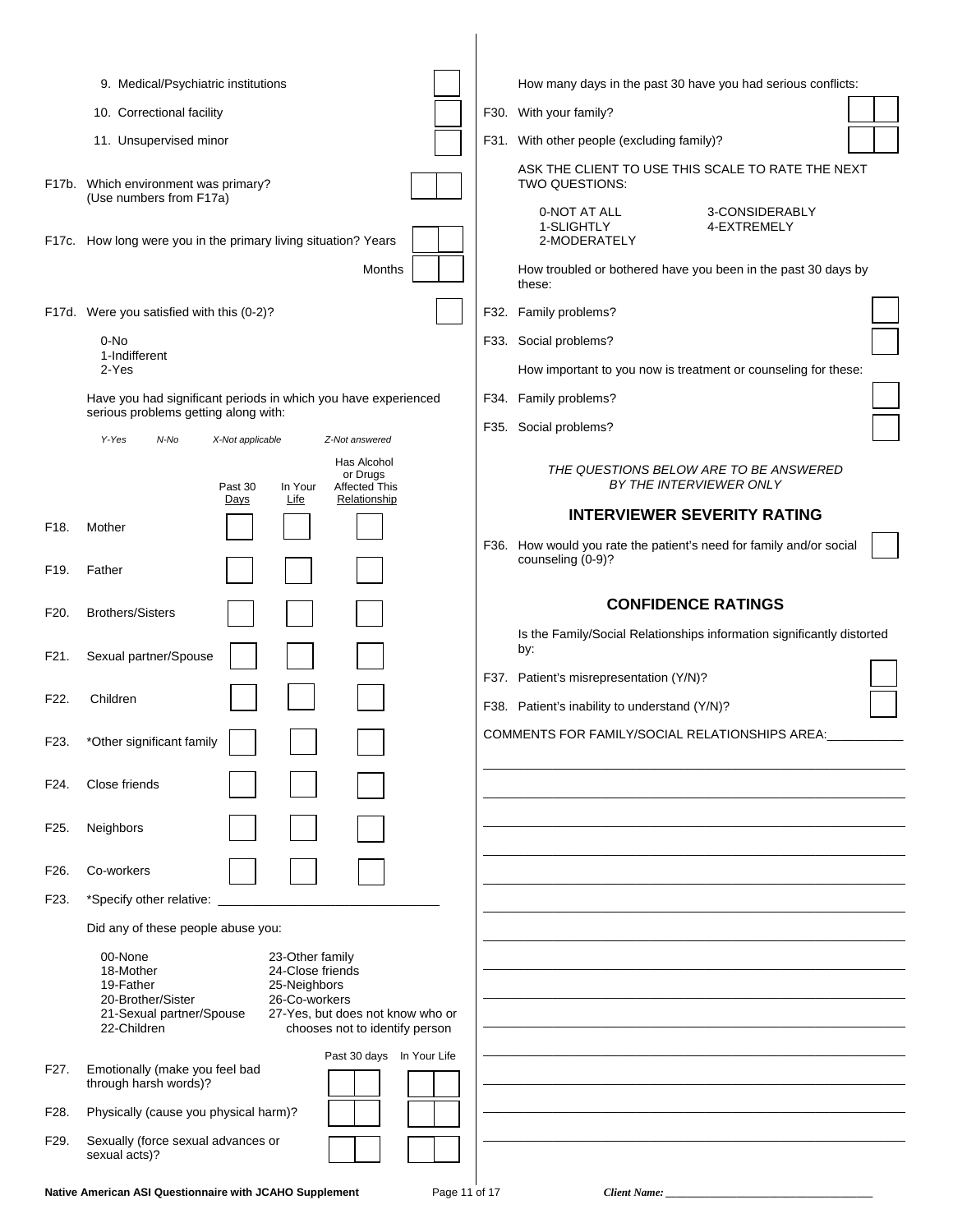|      | 9. Medical/Psychiatric institutions                                                                                                                                                                                                             | How many days in the past 30 have you had serious conflicts:                                                                                           |
|------|-------------------------------------------------------------------------------------------------------------------------------------------------------------------------------------------------------------------------------------------------|--------------------------------------------------------------------------------------------------------------------------------------------------------|
|      | 10. Correctional facility                                                                                                                                                                                                                       | F30. With your family?                                                                                                                                 |
|      | 11. Unsupervised minor                                                                                                                                                                                                                          | F31. With other people (excluding family)?                                                                                                             |
|      | F17b. Which environment was primary?                                                                                                                                                                                                            | ASK THE CLIENT TO USE THIS SCALE TO RATE THE NEXT<br>TWO QUESTIONS:                                                                                    |
|      | (Use numbers from F17a)<br>F17c. How long were you in the primary living situation? Years<br>Months                                                                                                                                             | 0-NOT AT ALL<br>3-CONSIDERABLY<br>1-SLIGHTLY<br>4-EXTREMELY<br>2-MODERATELY<br>How troubled or bothered have you been in the past 30 days by<br>these: |
|      | F17d. Were you satisfied with this (0-2)?                                                                                                                                                                                                       | F32. Family problems?                                                                                                                                  |
|      | 0-No                                                                                                                                                                                                                                            | F33. Social problems?                                                                                                                                  |
|      | 1-Indifferent<br>2-Yes                                                                                                                                                                                                                          | How important to you now is treatment or counseling for these:                                                                                         |
|      | Have you had significant periods in which you have experienced                                                                                                                                                                                  | F34. Family problems?                                                                                                                                  |
|      | serious problems getting along with:                                                                                                                                                                                                            | F35. Social problems?                                                                                                                                  |
|      | N-No<br>X-Not applicable<br>Y-Yes<br>Z-Not answered<br>Has Alcohol<br>or Drugs<br><b>Affected This</b><br>Past 30<br>In Your                                                                                                                    | THE QUESTIONS BELOW ARE TO BE ANSWERED<br>BY THE INTERVIEWER ONLY                                                                                      |
|      | Relationship<br>Days<br>Life                                                                                                                                                                                                                    | <b>INTERVIEWER SEVERITY RATING</b>                                                                                                                     |
| F18. | Mother                                                                                                                                                                                                                                          | F36. How would you rate the patient's need for family and/or social                                                                                    |
| F19. | Father                                                                                                                                                                                                                                          | counseling (0-9)?                                                                                                                                      |
| F20. | <b>Brothers/Sisters</b>                                                                                                                                                                                                                         | <b>CONFIDENCE RATINGS</b>                                                                                                                              |
| F21. | Sexual partner/Spouse                                                                                                                                                                                                                           | Is the Family/Social Relationships information significantly distorted<br>by:                                                                          |
|      |                                                                                                                                                                                                                                                 | F37. Patient's misrepresentation (Y/N)?                                                                                                                |
| F22. | Children                                                                                                                                                                                                                                        | F38. Patient's inability to understand (Y/N)?                                                                                                          |
| F23. | *Other significant family                                                                                                                                                                                                                       | COMMENTS FOR FAMILY/SOCIAL RELATIONSHIPS AREA:                                                                                                         |
| F24. | Close friends                                                                                                                                                                                                                                   |                                                                                                                                                        |
| F25. | Neighbors                                                                                                                                                                                                                                       |                                                                                                                                                        |
| F26. | Co-workers                                                                                                                                                                                                                                      |                                                                                                                                                        |
| F23. | *Specify other relative: _<br><u> Liberal Communication</u>                                                                                                                                                                                     |                                                                                                                                                        |
|      | Did any of these people abuse you:                                                                                                                                                                                                              |                                                                                                                                                        |
|      | 00-None<br>23-Other family<br>18-Mother<br>24-Close friends<br>19-Father<br>25-Neighbors<br>26-Co-workers<br>20-Brother/Sister<br>21-Sexual partner/Spouse<br>27-Yes, but does not know who or<br>22-Children<br>chooses not to identify person |                                                                                                                                                        |
| F27. | Past 30 days  In Your Life<br>Emotionally (make you feel bad<br>through harsh words)?                                                                                                                                                           |                                                                                                                                                        |
| F28. | Physically (cause you physical harm)?                                                                                                                                                                                                           |                                                                                                                                                        |
| F29. | Sexually (force sexual advances or<br>sexual acts)?                                                                                                                                                                                             |                                                                                                                                                        |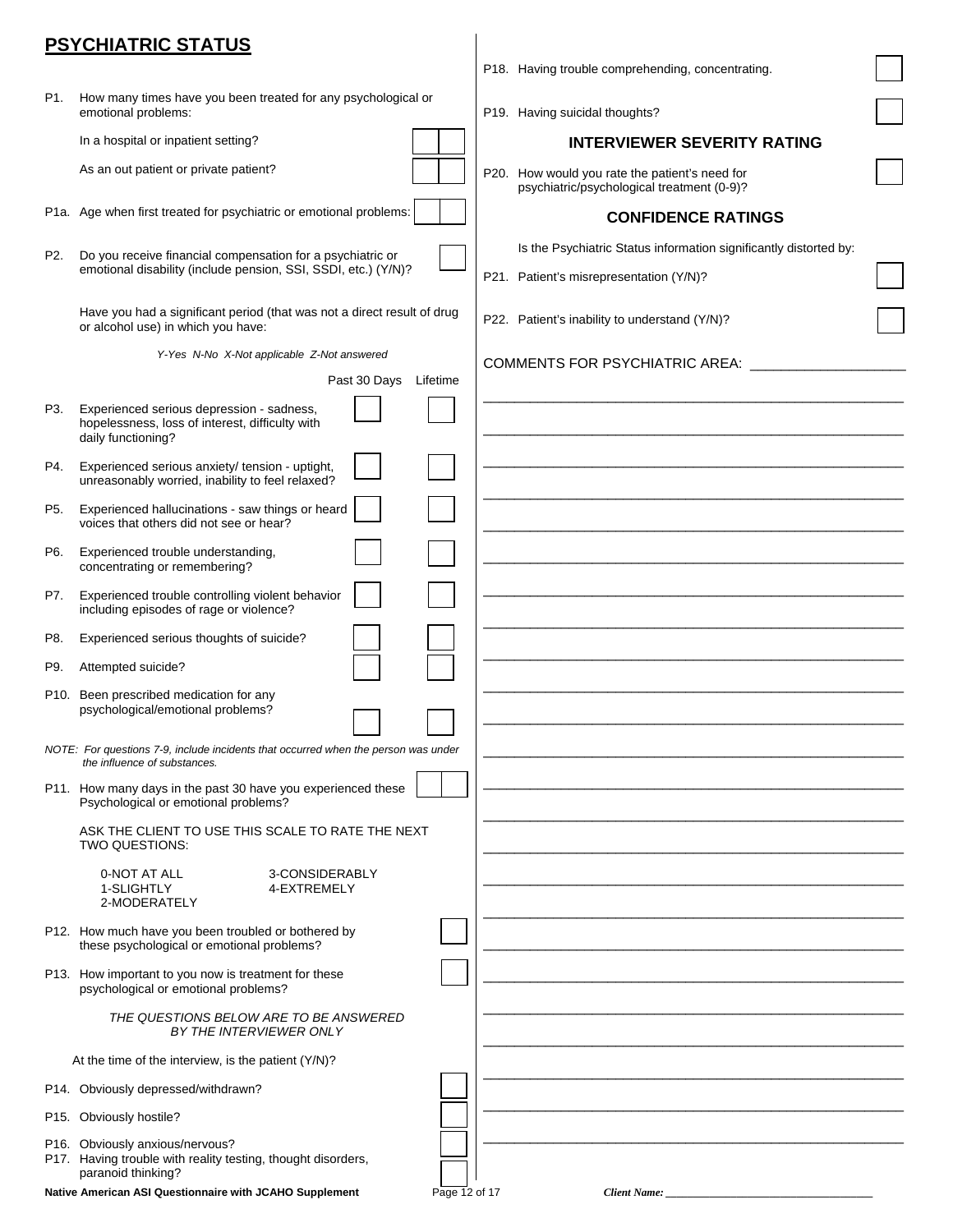# **PSYCHIATRIC STATUS**

|                  |                                                                                                                              |               |  | P18. Having trouble comprehending, concentrating.                                                            |  |  |  |
|------------------|------------------------------------------------------------------------------------------------------------------------------|---------------|--|--------------------------------------------------------------------------------------------------------------|--|--|--|
| P1.              | How many times have you been treated for any psychological or<br>emotional problems:                                         |               |  | P19. Having suicidal thoughts?                                                                               |  |  |  |
|                  | In a hospital or inpatient setting?                                                                                          |               |  | <b>INTERVIEWER SEVERITY RATING</b>                                                                           |  |  |  |
|                  | As an out patient or private patient?                                                                                        |               |  | P20. How would you rate the patient's need for<br>psychiatric/psychological treatment (0-9)?                 |  |  |  |
|                  | P1a. Age when first treated for psychiatric or emotional problems:                                                           |               |  | <b>CONFIDENCE RATINGS</b>                                                                                    |  |  |  |
| P2.              | Do you receive financial compensation for a psychiatric or<br>emotional disability (include pension, SSI, SSDI, etc.) (Y/N)? |               |  | Is the Psychiatric Status information significantly distorted by:<br>P21. Patient's misrepresentation (Y/N)? |  |  |  |
|                  | Have you had a significant period (that was not a direct result of drug<br>or alcohol use) in which you have:                |               |  | P22. Patient's inability to understand (Y/N)?                                                                |  |  |  |
|                  | Y-Yes N-No X-Not applicable Z-Not answered                                                                                   |               |  | COMMENTS FOR PSYCHIATRIC AREA:                                                                               |  |  |  |
|                  | Past 30 Days Lifetime                                                                                                        |               |  |                                                                                                              |  |  |  |
| P3.              | Experienced serious depression - sadness,<br>hopelessness, loss of interest, difficulty with<br>daily functioning?           |               |  |                                                                                                              |  |  |  |
| P4.              | Experienced serious anxiety/ tension - uptight,<br>unreasonably worried, inability to feel relaxed?                          |               |  |                                                                                                              |  |  |  |
| P <sub>5</sub> . | Experienced hallucinations - saw things or heard<br>voices that others did not see or hear?                                  |               |  |                                                                                                              |  |  |  |
| P6.              | Experienced trouble understanding,<br>concentrating or remembering?                                                          |               |  |                                                                                                              |  |  |  |
| P7.              | Experienced trouble controlling violent behavior<br>including episodes of rage or violence?                                  |               |  |                                                                                                              |  |  |  |
| P8.              | Experienced serious thoughts of suicide?                                                                                     |               |  |                                                                                                              |  |  |  |
| P9.              | Attempted suicide?                                                                                                           |               |  |                                                                                                              |  |  |  |
|                  | P10. Been prescribed medication for any<br>psychological/emotional problems?                                                 |               |  |                                                                                                              |  |  |  |
|                  | NOTE: For questions 7-9, include incidents that occurred when the person was under<br>the influence of substances.           |               |  |                                                                                                              |  |  |  |
|                  | P11. How many days in the past 30 have you experienced these<br>Psychological or emotional problems?                         |               |  |                                                                                                              |  |  |  |
|                  | ASK THE CLIENT TO USE THIS SCALE TO RATE THE NEXT<br>TWO QUESTIONS:                                                          |               |  |                                                                                                              |  |  |  |
|                  | 0-NOT AT ALL<br>3-CONSIDERABLY<br>1-SLIGHTLY<br>4-EXTREMELY<br>2-MODERATELY                                                  |               |  |                                                                                                              |  |  |  |
|                  | P12. How much have you been troubled or bothered by<br>these psychological or emotional problems?                            |               |  |                                                                                                              |  |  |  |
|                  | P13. How important to you now is treatment for these<br>psychological or emotional problems?                                 |               |  |                                                                                                              |  |  |  |
|                  | THE QUESTIONS BELOW ARE TO BE ANSWERED<br>BY THE INTERVIEWER ONLY                                                            |               |  |                                                                                                              |  |  |  |
|                  | At the time of the interview, is the patient $(Y/N)$ ?                                                                       |               |  |                                                                                                              |  |  |  |
|                  | P14. Obviously depressed/withdrawn?                                                                                          |               |  |                                                                                                              |  |  |  |
|                  | P15. Obviously hostile?                                                                                                      |               |  |                                                                                                              |  |  |  |
|                  | P16. Obviously anxious/nervous?<br>P17. Having trouble with reality testing, thought disorders,<br>paranoid thinking?        |               |  |                                                                                                              |  |  |  |
|                  | Native American ASI Questionnaire with JCAHO Supplement                                                                      | Page 12 of 17 |  | <b>Client Name:</b>                                                                                          |  |  |  |

 $\Box$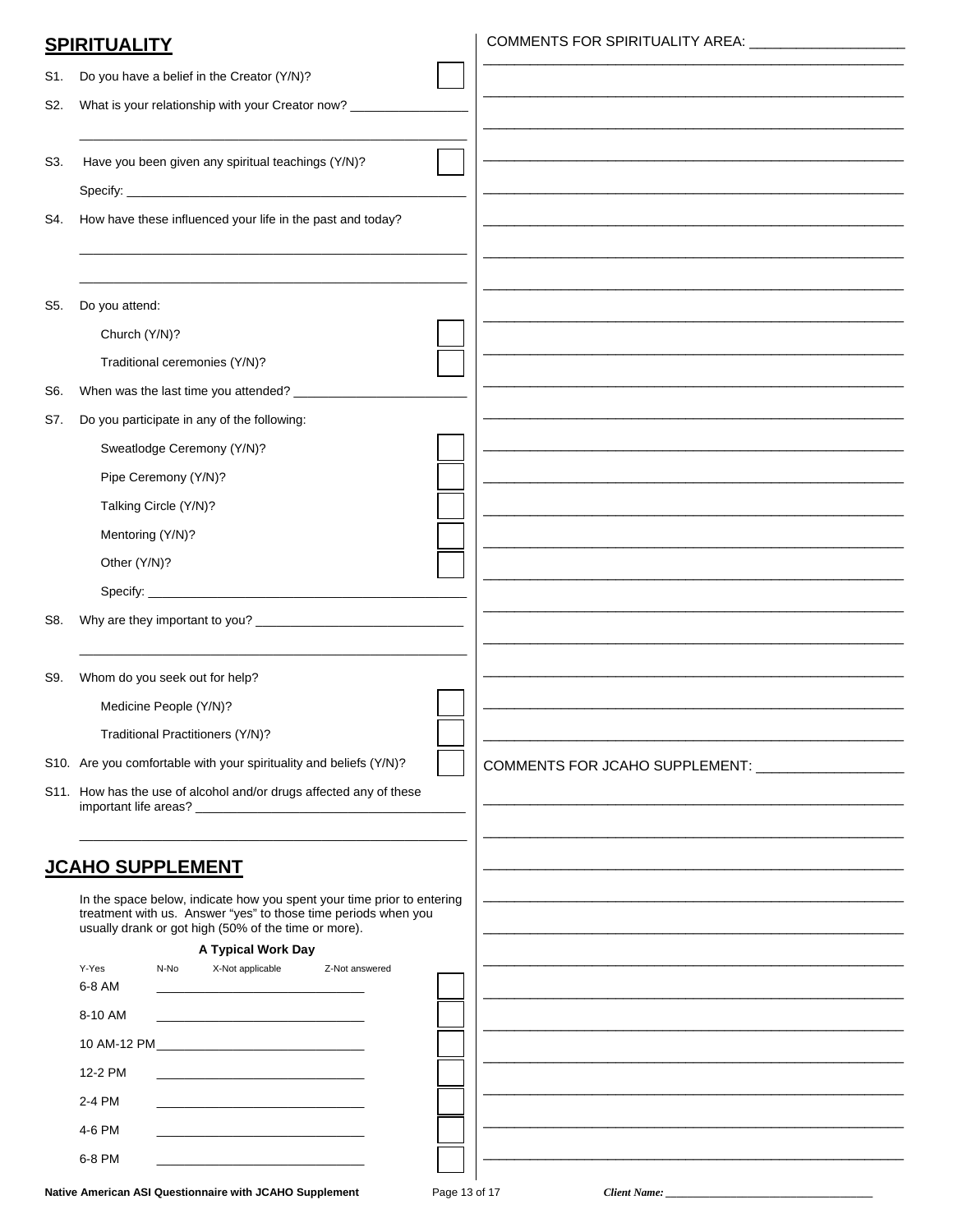### **SPIRITUALITY**

### COMMENTS FOR SPIRITUALITY AREA: \_\_\_\_\_\_\_\_\_\_\_\_\_\_\_

| S1. | Do you have a belief in the Creator (Y/N)?                                                                                               |  |                                                                                                                      |
|-----|------------------------------------------------------------------------------------------------------------------------------------------|--|----------------------------------------------------------------------------------------------------------------------|
| S2. | What is your relationship with your Creator now? ______                                                                                  |  |                                                                                                                      |
|     |                                                                                                                                          |  |                                                                                                                      |
| S3. | Have you been given any spiritual teachings (Y/N)?                                                                                       |  | <u> 1980 - Jan Barbara a Santa Alemania a Santa Alemania a Santa Alemania a Santa Alemania a Santa Alemania a Sa</u> |
|     |                                                                                                                                          |  |                                                                                                                      |
| S4. | How have these influenced your life in the past and today?                                                                               |  |                                                                                                                      |
|     |                                                                                                                                          |  |                                                                                                                      |
|     |                                                                                                                                          |  |                                                                                                                      |
|     |                                                                                                                                          |  |                                                                                                                      |
| S5. | Do you attend:                                                                                                                           |  |                                                                                                                      |
|     | Church (Y/N)?                                                                                                                            |  |                                                                                                                      |
|     | Traditional ceremonies (Y/N)?                                                                                                            |  |                                                                                                                      |
| S6. |                                                                                                                                          |  |                                                                                                                      |
| S7. | Do you participate in any of the following:                                                                                              |  |                                                                                                                      |
|     | Sweatlodge Ceremony (Y/N)?                                                                                                               |  |                                                                                                                      |
|     | Pipe Ceremony (Y/N)?                                                                                                                     |  |                                                                                                                      |
|     | Talking Circle (Y/N)?                                                                                                                    |  |                                                                                                                      |
|     | Mentoring (Y/N)?                                                                                                                         |  |                                                                                                                      |
|     | Other (Y/N)?                                                                                                                             |  |                                                                                                                      |
|     |                                                                                                                                          |  |                                                                                                                      |
|     |                                                                                                                                          |  |                                                                                                                      |
| S8. |                                                                                                                                          |  |                                                                                                                      |
|     |                                                                                                                                          |  |                                                                                                                      |
| S9. | Whom do you seek out for help?                                                                                                           |  |                                                                                                                      |
|     | Medicine People (Y/N)?                                                                                                                   |  |                                                                                                                      |
|     | Traditional Practitioners (Y/N)?                                                                                                         |  |                                                                                                                      |
|     | S10. Are you comfortable with your spirituality and beliefs (Y/N)?                                                                       |  | COMMENTS FOR JCAHO SUPPLEMENT: ___________________                                                                   |
|     | S11. How has the use of alcohol and/or drugs affected any of these                                                                       |  |                                                                                                                      |
|     |                                                                                                                                          |  |                                                                                                                      |
|     |                                                                                                                                          |  |                                                                                                                      |
|     | <b>JCAHO SUPPLEMENT</b>                                                                                                                  |  |                                                                                                                      |
|     | In the space below, indicate how you spent your time prior to entering<br>treatment with us. Answer "yes" to those time periods when you |  |                                                                                                                      |
|     | usually drank or got high (50% of the time or more).                                                                                     |  |                                                                                                                      |
|     | A Typical Work Day                                                                                                                       |  |                                                                                                                      |
|     | X-Not applicable<br>Y-Yes<br>N-No<br>Z-Not answered<br>6-8 AM                                                                            |  |                                                                                                                      |
|     | 8-10 AM<br>the control of the control of the control of the control of the control of                                                    |  |                                                                                                                      |
|     |                                                                                                                                          |  |                                                                                                                      |
|     | 12-2 PM                                                                                                                                  |  |                                                                                                                      |
|     | 2-4 PM                                                                                                                                   |  |                                                                                                                      |
|     | 4-6 PM                                                                                                                                   |  |                                                                                                                      |
|     | <u> 1989 - Johann John Stone, markin fan it ferstjer fan it ferstjer fan it ferstjer fan it ferstjer fan it fers</u><br>6-8 PM           |  |                                                                                                                      |
|     |                                                                                                                                          |  |                                                                                                                      |

Native American ASI Questionnaire with JCAHO Supplement

Client Name: \_\_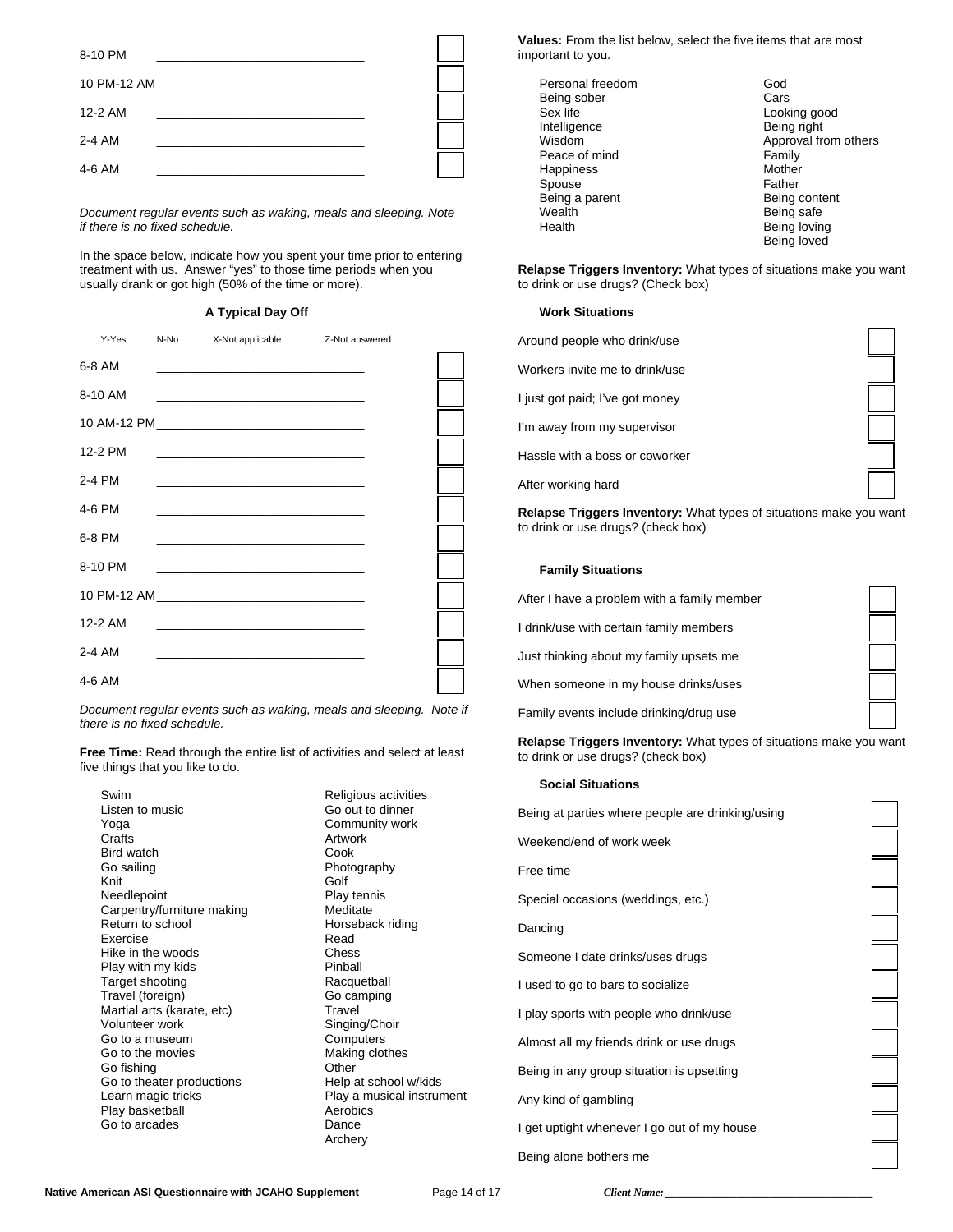| 8-10 PM     |  |  |
|-------------|--|--|
| 10 PM-12 AM |  |  |
| 12-2 AM     |  |  |
| 2-4 AM      |  |  |
| 4-6 AM      |  |  |

 *Document regular events such as waking, meals and sleeping. Note if there is no fixed schedule.*

 In the space below, indicate how you spent your time prior to entering treatment with us. Answer "yes" to those time periods when you usually drank or got high (50% of the time or more).

### **A Typical Day Off**

| Y-Yes   | N-No | X-Not applicable Z-Not answered                                                                                                                                                                                               |  |
|---------|------|-------------------------------------------------------------------------------------------------------------------------------------------------------------------------------------------------------------------------------|--|
| 6-8 AM  |      | <u> 1989 - Johann John Stone, markin fan it ferstjer fan it ferstjer fan it ferstjer fan it ferstjer fan it fers</u>                                                                                                          |  |
| 8-10 AM |      | the control of the control of the control of the control of the control of the control of the control of the control of the control of the control of the control of the control of the control of the control of the control |  |
|         |      |                                                                                                                                                                                                                               |  |
| 12-2 PM |      | the control of the control of the control of the control of the control of the control of                                                                                                                                     |  |
| 2-4 PM  |      |                                                                                                                                                                                                                               |  |
| 4-6 PM  |      | <u> 1989 - Johann John Stein, markin fan it ferstjer fan it ferstjer fan it ferstjer fan it ferstjer fan it fers</u>                                                                                                          |  |
| 6-8 PM  |      | the control of the control of the control of the control of the control of the control of the control of the control of the control of the control of the control of the control of the control of the control of the control |  |
| 8-10 PM |      | the control of the control of the control of the control of the control of the control of                                                                                                                                     |  |
|         |      |                                                                                                                                                                                                                               |  |
| 12-2 AM |      |                                                                                                                                                                                                                               |  |
| 2-4 AM  |      |                                                                                                                                                                                                                               |  |
| 4-6 AM  |      |                                                                                                                                                                                                                               |  |

*Document regular events such as waking, meals and sleeping. Note if there is no fixed schedule.* 

**Free Time:** Read through the entire list of activities and select at least five things that you like to do.

Swim **Religious** activities Listen to music Controller Controller Controller Go out to dinner Yoga Community work<br>Crafts Crafts Crafts Crafts Bird watch Cook Go sailing **Contact Contact Services** Photography Knit Golf Needlepoint **Play tennis** Carpentry/furniture making Meditate Return to school **Horseback** riding Exercise Read Hike in the woods Chess Play with my kids **Pinball** Target shooting **Racquetball** Travel (foreign) Go camping Martial arts (karate, etc) Travel Volunteer work Singing/Choir Go to a museum Computers Go to the movies Making clothes Go fishing **Contact Contact Contact Contact Contact Contact Contact Contact Contact Contact Contact Contact Contact Contact Contact Contact Contact Contact Contact Contact Contact Contact Contact Contact Contact Contact Co** Go to theater productions **Help at school w/kids** Learn magic tricks **Play a musical instrument** Play basketball **Australia America** Aerobics Go to arcades **Dance** 

Artwork Archery

**Values:** From the list below, select the five items that are most important to you.

Personal freedom God Being sober Cars<br>
Sex life Cars<br>
Cook Looking good<br>Being right Intelligence<br>Wisdom Approval from others Peace of mind<br>
Happiness<br>
Happiness Happiness Spouse **Father** Being a parent Being content Wealth **Being safe** Health **Being loving** Being loved

**Relapse Triggers Inventory:** What types of situations make you want to drink or use drugs? (Check box)

#### **Work Situations**

 Around people who drink/use Workers invite me to drink/use I just got paid; I've got money I'm away from my supervisor

Hassle with a boss or coworker

After working hard

**Relapse Triggers Inventory:** What types of situations make you want to drink or use drugs? (check box)

#### **Family Situations**

After I have a problem with a family member

I drink/use with certain family members

Just thinking about my family upsets me

When someone in my house drinks/uses

Family events include drinking/drug use

**Relapse Triggers Inventory:** What types of situations make you want to drink or use drugs? (check box)

#### **Social Situations**

 Being at parties where people are drinking/using Weekend/end of work week Free time Special occasions (weddings, etc.) Dancing Someone I date drinks/uses drugs I used to go to bars to socialize I play sports with people who drink/use Almost all my friends drink or use drugs Being in any group situation is upsetting Any kind of gambling I get uptight whenever I go out of my house Being alone bothers me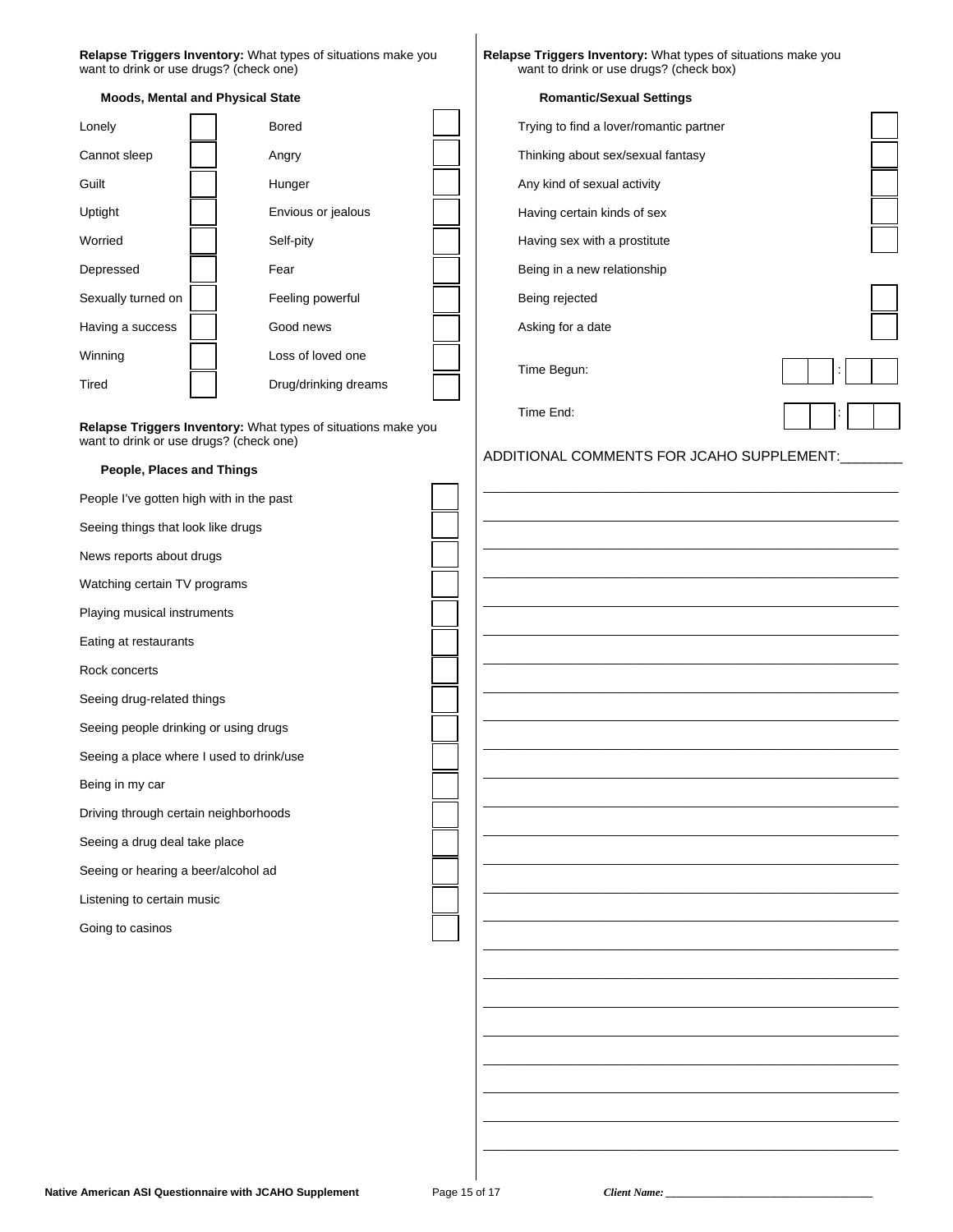| want to drink or use drugs? (check one)  | Relapse Triggers Inventory: What types of situations make you | Relapse Triggers Inventory: What types of situations make you<br>want to drink or use drugs? (check box) |  |
|------------------------------------------|---------------------------------------------------------------|----------------------------------------------------------------------------------------------------------|--|
| <b>Moods, Mental and Physical State</b>  |                                                               | <b>Romantic/Sexual Settings</b>                                                                          |  |
| Lonely                                   | <b>Bored</b>                                                  | Trying to find a lover/romantic partner                                                                  |  |
| Cannot sleep                             | Angry                                                         | Thinking about sex/sexual fantasy                                                                        |  |
| Guilt                                    | Hunger                                                        | Any kind of sexual activity                                                                              |  |
| Uptight                                  | Envious or jealous                                            | Having certain kinds of sex                                                                              |  |
| Worried                                  | Self-pity                                                     | Having sex with a prostitute                                                                             |  |
| Depressed                                | Fear                                                          | Being in a new relationship                                                                              |  |
| Sexually turned on                       | Feeling powerful                                              | Being rejected                                                                                           |  |
| Having a success                         | Good news                                                     | Asking for a date                                                                                        |  |
| Winning                                  | Loss of loved one                                             |                                                                                                          |  |
| Tired                                    | Drug/drinking dreams                                          | Time Begun:                                                                                              |  |
|                                          |                                                               | Time End:                                                                                                |  |
| want to drink or use drugs? (check one)  | Relapse Triggers Inventory: What types of situations make you |                                                                                                          |  |
| People, Places and Things                |                                                               | ADDITIONAL COMMENTS FOR JCAHO SUPPLEMENT:                                                                |  |
| People I've gotten high with in the past |                                                               |                                                                                                          |  |
| Seeing things that look like drugs       |                                                               |                                                                                                          |  |
| News reports about drugs                 |                                                               |                                                                                                          |  |
| Watching certain TV programs             |                                                               |                                                                                                          |  |
| Playing musical instruments              |                                                               |                                                                                                          |  |
| Eating at restaurants                    |                                                               |                                                                                                          |  |
| Rock concerts                            |                                                               |                                                                                                          |  |
| Seeing drug-related things               |                                                               |                                                                                                          |  |
| Seeing people drinking or using drugs    |                                                               |                                                                                                          |  |
| Seeing a place where I used to drink/use |                                                               |                                                                                                          |  |
| Being in my car                          |                                                               |                                                                                                          |  |
| Driving through certain neighborhoods    |                                                               |                                                                                                          |  |
| Seeing a drug deal take place            |                                                               |                                                                                                          |  |
| Seeing or hearing a beer/alcohol ad      |                                                               |                                                                                                          |  |
| Listening to certain music               |                                                               |                                                                                                          |  |
| Going to casinos                         |                                                               |                                                                                                          |  |
|                                          |                                                               |                                                                                                          |  |
|                                          |                                                               |                                                                                                          |  |
|                                          |                                                               |                                                                                                          |  |
|                                          |                                                               |                                                                                                          |  |
|                                          |                                                               |                                                                                                          |  |
|                                          |                                                               |                                                                                                          |  |

\_\_\_\_\_\_\_\_\_\_\_\_\_\_\_\_\_\_\_\_\_\_\_\_\_\_\_\_\_\_\_\_\_\_\_\_\_\_\_\_\_\_\_\_\_\_\_\_\_\_\_\_\_\_\_\_\_\_\_\_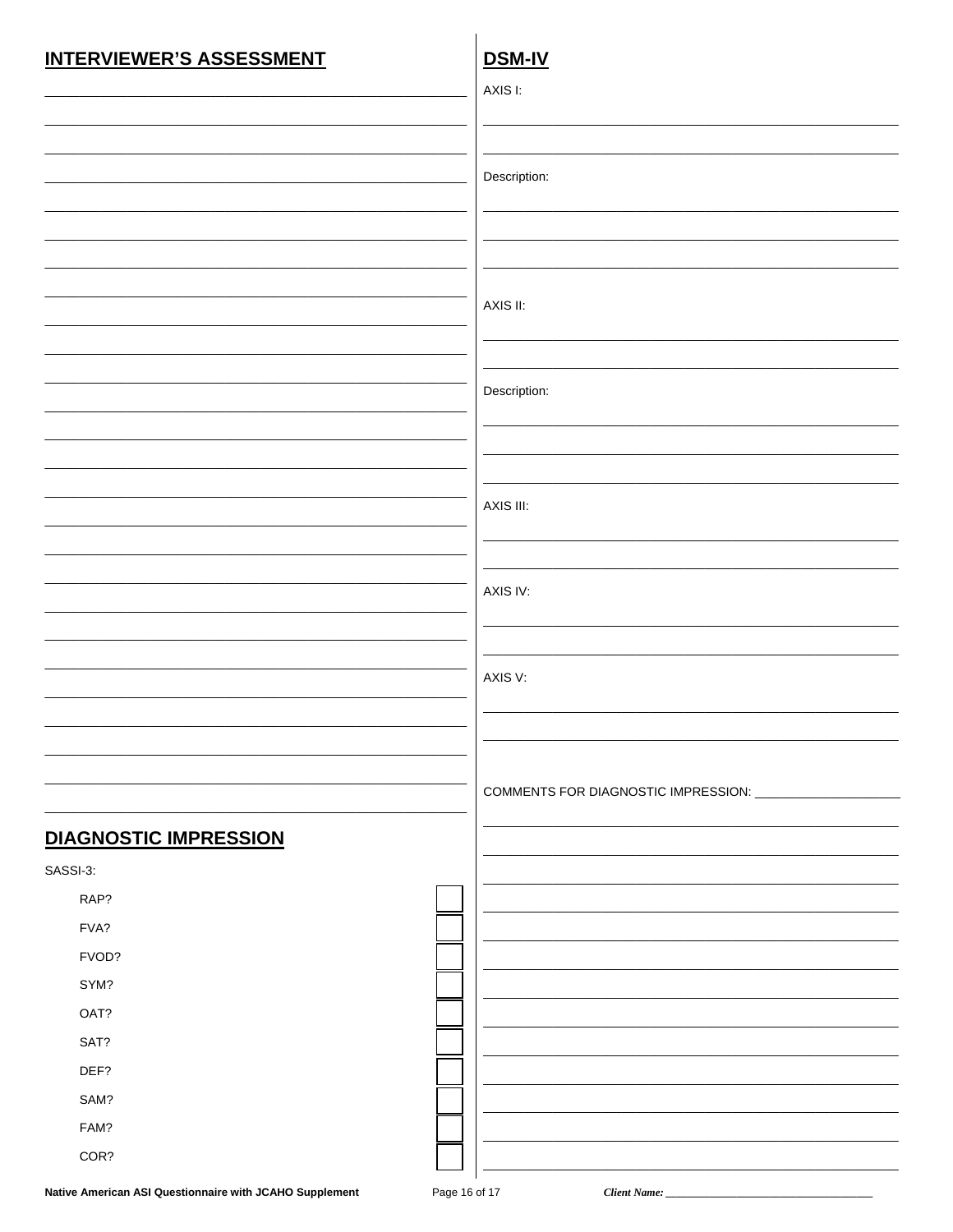### **INTERVIEWER'S ASSESSMENT**

# **DSM-IV**

|                              | AXIS I:      |
|------------------------------|--------------|
|                              |              |
|                              |              |
|                              | Description: |
|                              |              |
|                              |              |
|                              |              |
|                              | AXIS II:     |
|                              |              |
|                              |              |
|                              |              |
|                              | Description: |
|                              |              |
|                              |              |
|                              | AXIS III:    |
|                              |              |
|                              |              |
|                              | AXIS IV:     |
|                              |              |
|                              |              |
|                              | AXIS V:      |
|                              |              |
|                              |              |
|                              |              |
|                              |              |
|                              |              |
| <b>DIAGNOSTIC IMPRESSION</b> |              |
| SASSI-3:                     |              |
| RAP?                         |              |
| FVA?                         |              |
| FVOD?                        |              |
| SYM?                         |              |
| OAT?                         |              |
| SAT?                         |              |
| DEF?                         |              |
| SAM?                         |              |
| FAM?                         |              |
| COR?                         |              |
|                              |              |

Client Name: \_\_\_